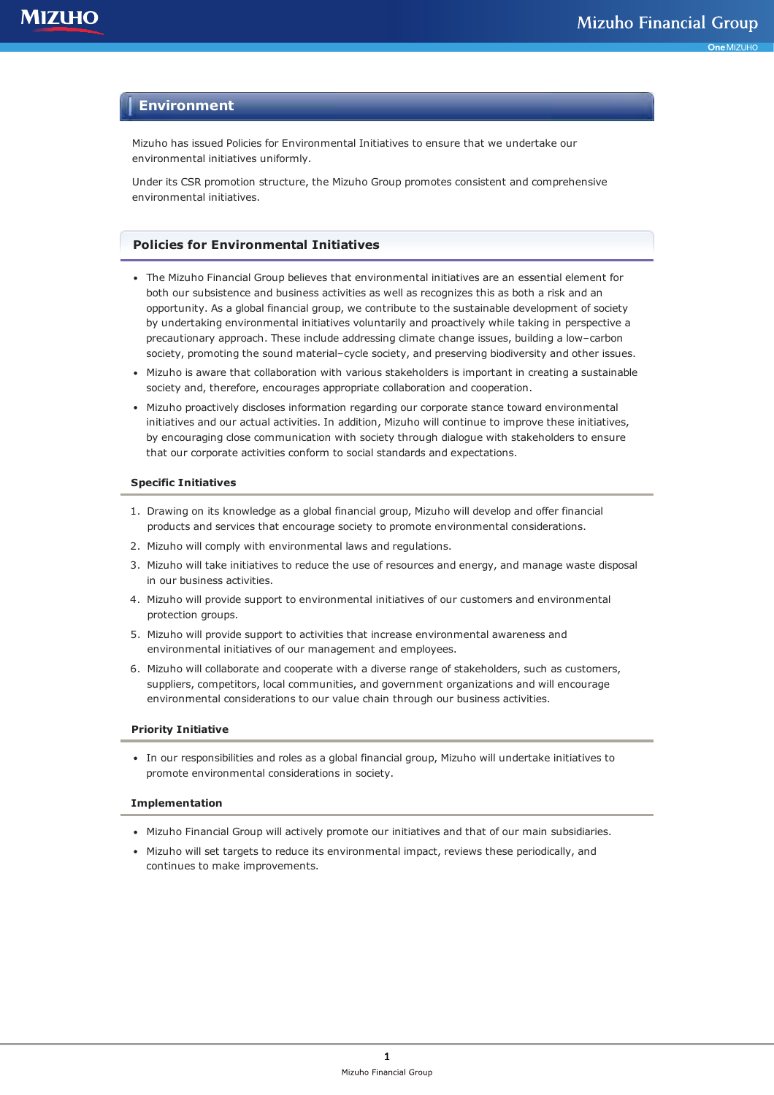# **Environment**

Mizuho has issued Policies for Environmental Initiatives to ensure that we undertake our environmental initiatives uniformly.

Under its CSR promotion structure, the Mizuho Group promotes consistent and comprehensive environmental initiatives.

## **Policies for Environmental Initiatives**

- The Mizuho Financial Group believes that environmental initiatives are an essential element for both our subsistence and business activities as well as recognizes this as both a risk and an opportunity. As a global financial group, we contribute to the sustainable development of society by undertaking environmental initiatives voluntarily and proactively while taking in perspective a precautionary approach. These include addressing climate change issues, building a low–carbon society, promoting the sound material–cycle society, and preserving biodiversity and other issues.
- Mizuho is aware that collaboration with various stakeholders is important in creating a sustainable society and, therefore, encourages appropriate collaboration and cooperation.
- Mizuho proactively discloses information regarding our corporate stance toward environmental initiatives and our actual activities. In addition, Mizuho will continue to improve these initiatives, by encouraging close communication with society through dialogue with stakeholders to ensure that our corporate activities conform to social standards and expectations.

#### **Specific Initiatives**

- 1. Drawing on its knowledge as a global financial group, Mizuho will develop and offer financial products and services that encourage society to promote environmental considerations.
- 2. Mizuho will comply with environmental laws and regulations.
- 3. Mizuho will take initiatives to reduce the use of resources and energy, and manage waste disposal in our business activities.
- 4. Mizuho will provide support to environmental initiatives of our customers and environmental protection groups.
- 5. Mizuho will provide support to activities that increase environmental awareness and environmental initiatives of our management and employees.
- 6. Mizuho will collaborate and cooperate with a diverse range of stakeholders, such as customers, suppliers, competitors, local communities, and government organizations and will encourage environmental considerations to our value chain through our business activities.

#### **Priority Initiative**

In our responsibilities and roles as a global financial group, Mizuho will undertake initiatives to promote environmental considerations in society.

#### **Implementation**

- Mizuho Financial Group will actively promote our initiatives and that of our main subsidiaries.
- Mizuho will set targets to reduce its environmental impact, reviews these periodically, and continues to make improvements.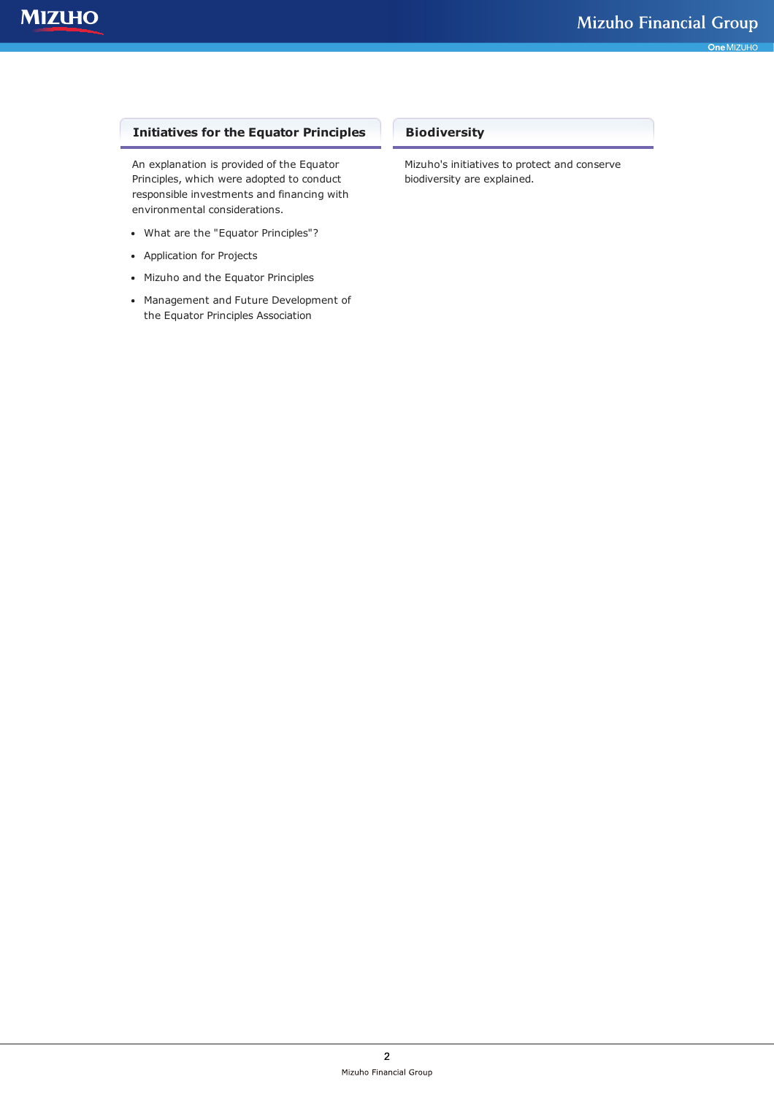# **Initiatives for the Equator Principles**

An explanation is provided of the Equator Principles, which were adopted to conduct responsible investments and financing with environmental considerations.

- What are the "Equator Principles"?
- Application for Projects
- Mizuho and the Equator Principles
- Management and Future Development of the Equator Principles Association

# **Biodiversity**

Mizuho's initiatives to protect and conserve biodiversity are explained.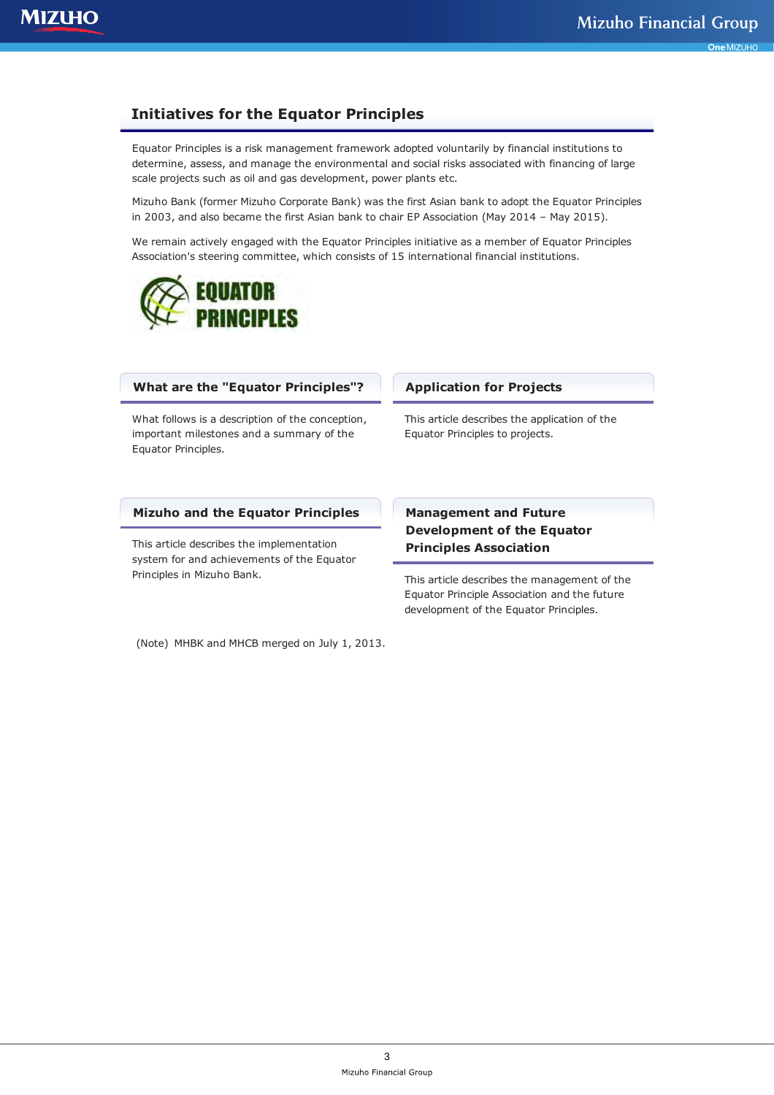# **Initiatives for the Equator Principles**

Equator Principles is a risk management framework adopted voluntarily by financial institutions to determine, assess, and manage the environmental and social risks associated with financing of large scale projects such as oil and gas development, power plants etc.

Mizuho Bank (former Mizuho Corporate Bank) was the first Asian bank to adopt the Equator Principles in 2003, and also became the first Asian bank to chair EP Association (May 2014 – May 2015).

We remain actively engaged with the Equator Principles initiative as a member of Equator Principles Association's steering committee, which consists of 15 international financial institutions.



# **What are the "Equator Principles"?**

What follows is a description of the conception, important milestones and a summary of the Equator Principles.

#### **Mizuho and the Equator Principles**

This article describes the implementation system for and achievements of the Equator Principles in Mizuho Bank.

## **Application for Projects**

This article describes the application of the Equator Principles to projects.

# **Management and Future Development of the Equator Principles Association**

This article describes the management of the Equator Principle Association and the future development of the Equator Principles.

(Note) MHBK and MHCB merged on July 1, 2013.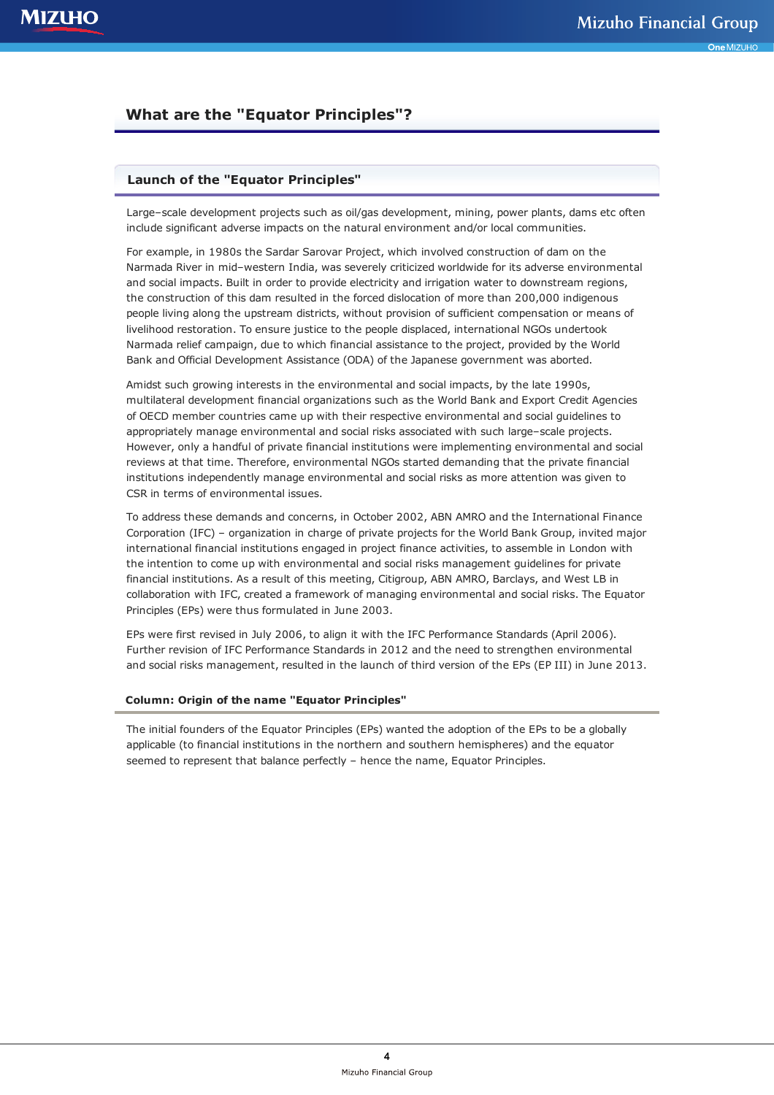# **What are the "Equator Principles"?**

# **Launch of the "Equator Principles"**

Large–scale development projects such as oil/gas development, mining, power plants, dams etc often include significant adverse impacts on the natural environment and/or local communities.

For example, in 1980s the Sardar Sarovar Project, which involved construction of dam on the Narmada River in mid–western India, was severely criticized worldwide for its adverse environmental and social impacts. Built in order to provide electricity and irrigation water to downstream regions, the construction of this dam resulted in the forced dislocation of more than 200,000 indigenous people living along the upstream districts, without provision of sufficient compensation or means of livelihood restoration. To ensure justice to the people displaced, international NGOs undertook Narmada relief campaign, due to which financial assistance to the project, provided by the World Bank and Official Development Assistance (ODA) of the Japanese government was aborted.

Amidst such growing interests in the environmental and social impacts, by the late 1990s, multilateral development financial organizations such as the World Bank and Export Credit Agencies of OECD member countries came up with their respective environmental and social guidelines to appropriately manage environmental and social risks associated with such large–scale projects. However, only a handful of private financial institutions were implementing environmental and social reviews at that time. Therefore, environmental NGOs started demanding that the private financial institutions independently manage environmental and social risks as more attention was given to CSR in terms of environmental issues.

To address these demands and concerns, in October 2002, ABN AMRO and the International Finance Corporation (IFC) – organization in charge of private projects for the World Bank Group, invited major international financial institutions engaged in project finance activities, to assemble in London with the intention to come up with environmental and social risks management guidelines for private financial institutions. As a result of this meeting, Citigroup, ABN AMRO, Barclays, and West LB in collaboration with IFC, created a framework of managing environmental and social risks. The Equator Principles (EPs) were thus formulated in June 2003.

EPs were first revised in July 2006, to align it with the IFC Performance Standards (April 2006). Further revision of IFC Performance Standards in 2012 and the need to strengthen environmental and social risks management, resulted in the launch of third version of the EPs (EP III) in June 2013.

#### **Column: Origin of the name "Equator Principles"**

The initial founders of the Equator Principles (EPs) wanted the adoption of the EPs to be a globally applicable (to financial institutions in the northern and southern hemispheres) and the equator seemed to represent that balance perfectly – hence the name, Equator Principles.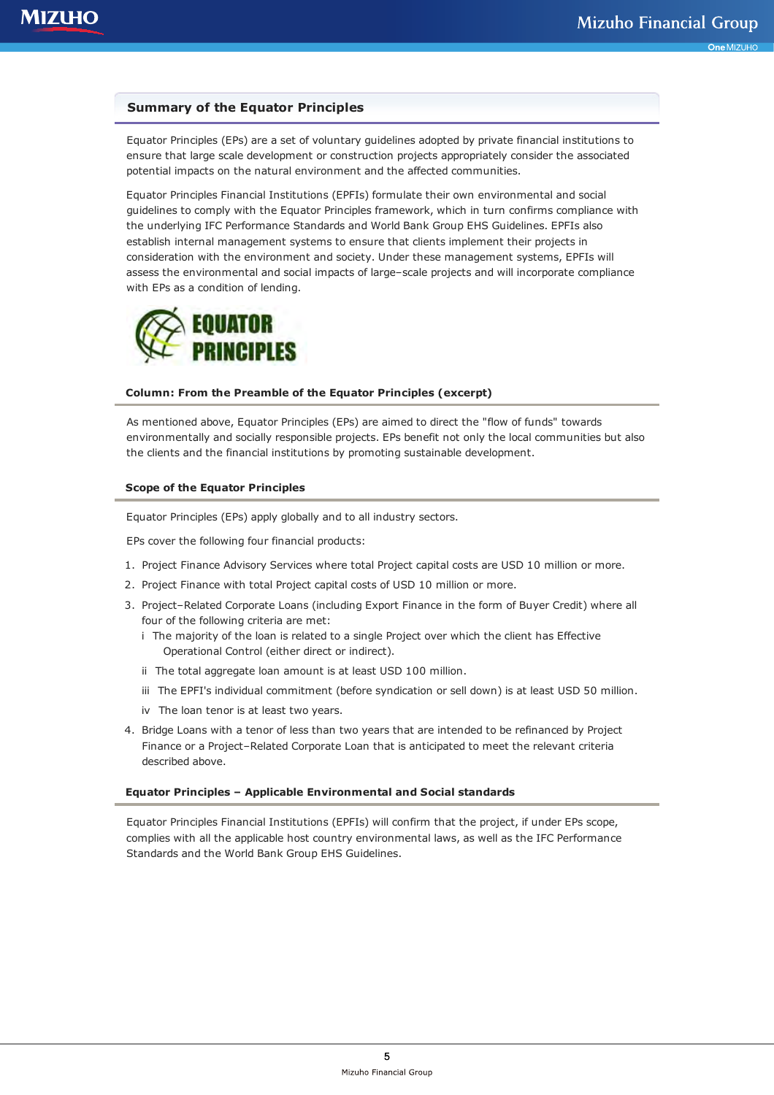# **Summary of the Equator Principles**

Equator Principles (EPs) are a set of voluntary guidelines adopted by private financial institutions to ensure that large scale development or construction projects appropriately consider the associated potential impacts on the natural environment and the affected communities.

Equator Principles Financial Institutions (EPFIs) formulate their own environmental and social guidelines to comply with the Equator Principles framework, which in turn confirms compliance with the underlying IFC Performance Standards and World Bank Group EHS Guidelines. EPFIs also establish internal management systems to ensure that clients implement their projects in consideration with the environment and society. Under these management systems, EPFIs will assess the environmental and social impacts of large–scale projects and will incorporate compliance with EPs as a condition of lending.



#### **Column: From the Preamble of the Equator Principles (excerpt)**

As mentioned above, Equator Principles (EPs) are aimed to direct the "flow of funds" towards environmentally and socially responsible projects. EPs benefit not only the local communities but also the clients and the financial institutions by promoting sustainable development.

### **Scope of the Equator Principles**

Equator Principles (EPs) apply globally and to all industry sectors.

EPs cover the following four financial products:

- 1. Project Finance Advisory Services where total Project capital costs are USD 10 million or more.
- 2. Project Finance with total Project capital costs of USD 10 million or more.
- 3. Project–Related Corporate Loans (including Export Finance in the form of Buyer Credit) where all four of the following criteria are met:
	- i The majority of the loan is related to a single Project over which the client has Effective Operational Control (either direct or indirect).
	- ii The total aggregate loan amount is at least USD 100 million.
	- iii The EPFI's individual commitment (before syndication or sell down) is at least USD 50 million.
	- iv The loan tenor is at least two years.
- 4. Bridge Loans with a tenor of less than two years that are intended to be refinanced by Project Finance or a Project–Related Corporate Loan that is anticipated to meet the relevant criteria described above.

#### **Equator Principles – Applicable Environmental and Social standards**

Equator Principles Financial Institutions (EPFIs) will confirm that the project, if under EPs scope, complies with all the applicable host country environmental laws, as well as the IFC Performance Standards and the World Bank Group EHS Guidelines.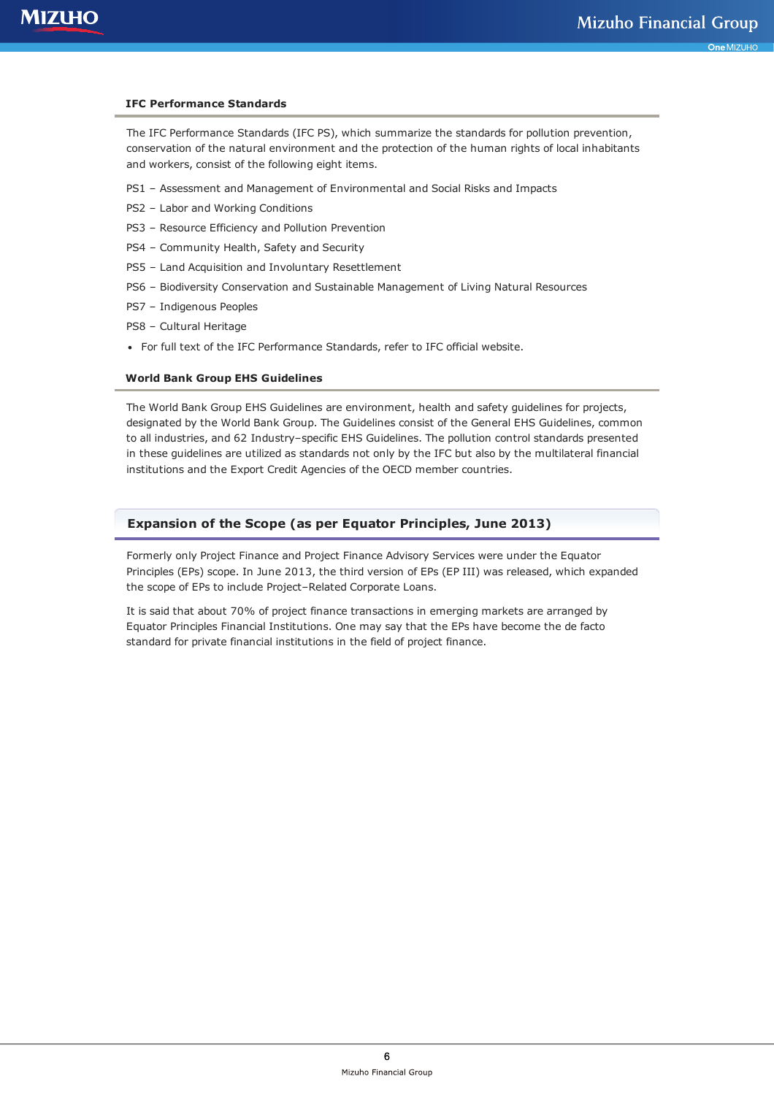#### **IFC Performance Standards**

The IFC Performance Standards (IFC PS), which summarize the standards for pollution prevention, conservation of the natural environment and the protection of the human rights of local inhabitants and workers, consist of the following eight items.

- PS1 Assessment and Management of Environmental and Social Risks and Impacts
- PS2 Labor and Working Conditions
- PS3 Resource Efficiency and Pollution Prevention
- PS4 Community Health, Safety and Security
- PS5 Land Acquisition and Involuntary Resettlement
- PS6 Biodiversity Conservation and Sustainable Management of Living Natural Resources
- PS7 Indigenous Peoples
- PS8 Cultural Heritage
- For full text of the IFC Performance Standards, refer to IFC official website.

#### **World Bank Group EHS Guidelines**

The World Bank Group EHS Guidelines are environment, health and safety guidelines for projects, designated by the World Bank Group. The Guidelines consist of the General EHS Guidelines, common to all industries, and 62 Industry–specific EHS Guidelines. The pollution control standards presented in these guidelines are utilized as standards not only by the IFC but also by the multilateral financial institutions and the Export Credit Agencies of the OECD member countries.

# **Expansion of the Scope (as per Equator Principles, June 2013)**

Formerly only Project Finance and Project Finance Advisory Services were under the Equator Principles (EPs) scope. In June 2013, the third version of EPs (EP III) was released, which expanded the scope of EPs to include Project–Related Corporate Loans.

It is said that about 70% of project finance transactions in emerging markets are arranged by Equator Principles Financial Institutions. One may say that the EPs have become the de facto standard for private financial institutions in the field of project finance.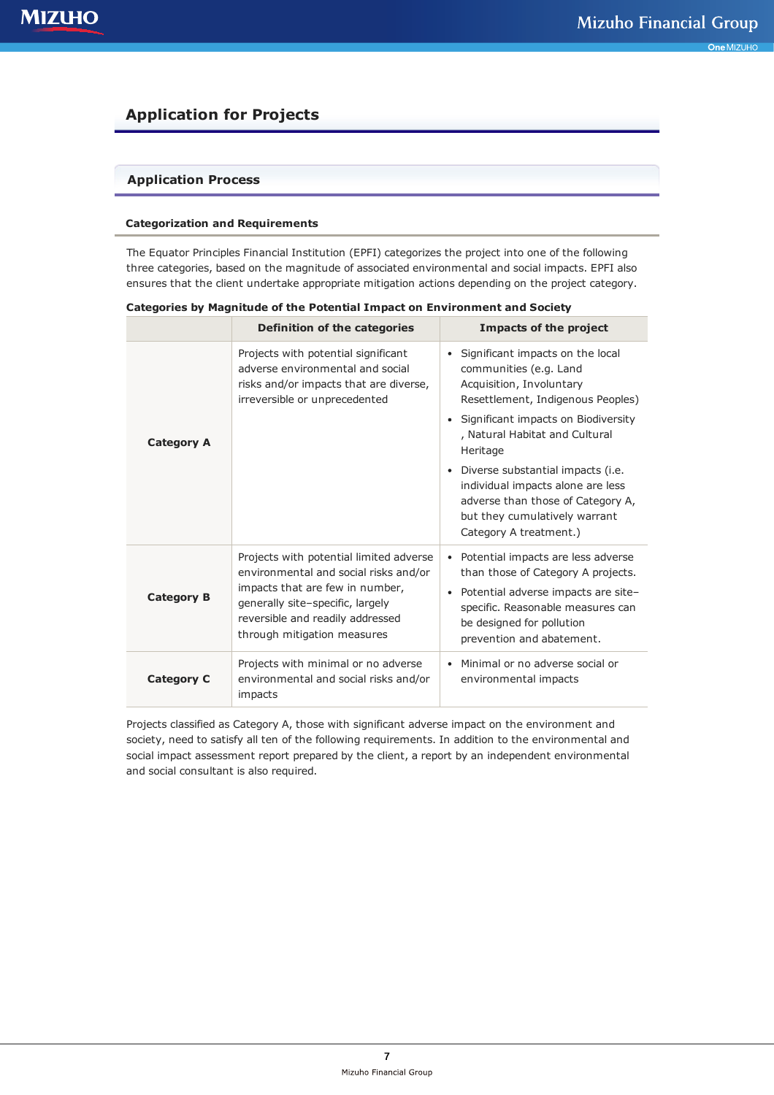# **Application for Projects**

# **Application Process**

### **Categorization and Requirements**

The Equator Principles Financial Institution (EPFI) categorizes the project into one of the following three categories, based on the magnitude of associated environmental and social impacts. EPFI also ensures that the client undertake appropriate mitigation actions depending on the project category.

|                   | <b>Definition of the categories</b>                                                                                                                                                                                        | <b>Impacts of the project</b>                                                                                                                                                                                                                                                                                                                                                                                  |
|-------------------|----------------------------------------------------------------------------------------------------------------------------------------------------------------------------------------------------------------------------|----------------------------------------------------------------------------------------------------------------------------------------------------------------------------------------------------------------------------------------------------------------------------------------------------------------------------------------------------------------------------------------------------------------|
| <b>Category A</b> | Projects with potential significant<br>adverse environmental and social<br>risks and/or impacts that are diverse,<br>irreversible or unprecedented                                                                         | Significant impacts on the local<br>$\bullet$<br>communities (e.g. Land<br>Acquisition, Involuntary<br>Resettlement, Indigenous Peoples)<br>Significant impacts on Biodiversity<br>٠<br>, Natural Habitat and Cultural<br>Heritage<br>• Diverse substantial impacts (i.e.<br>individual impacts alone are less<br>adverse than those of Category A,<br>but they cumulatively warrant<br>Category A treatment.) |
| <b>Category B</b> | Projects with potential limited adverse<br>environmental and social risks and/or<br>impacts that are few in number,<br>generally site-specific, largely<br>reversible and readily addressed<br>through mitigation measures | Potential impacts are less adverse<br>$\bullet$<br>than those of Category A projects.<br>• Potential adverse impacts are site-<br>specific. Reasonable measures can<br>be designed for pollution<br>prevention and abatement.                                                                                                                                                                                  |
| <b>Category C</b> | Projects with minimal or no adverse<br>environmental and social risks and/or<br>impacts                                                                                                                                    | Minimal or no adverse social or<br>environmental impacts                                                                                                                                                                                                                                                                                                                                                       |

**Categories by Magnitude of the Potential Impact on Environment and Society**

Projects classified as Category A, those with significant adverse impact on the environment and society, need to satisfy all ten of the following requirements. In addition to the environmental and social impact assessment report prepared by the client, a report by an independent environmental and social consultant is also required.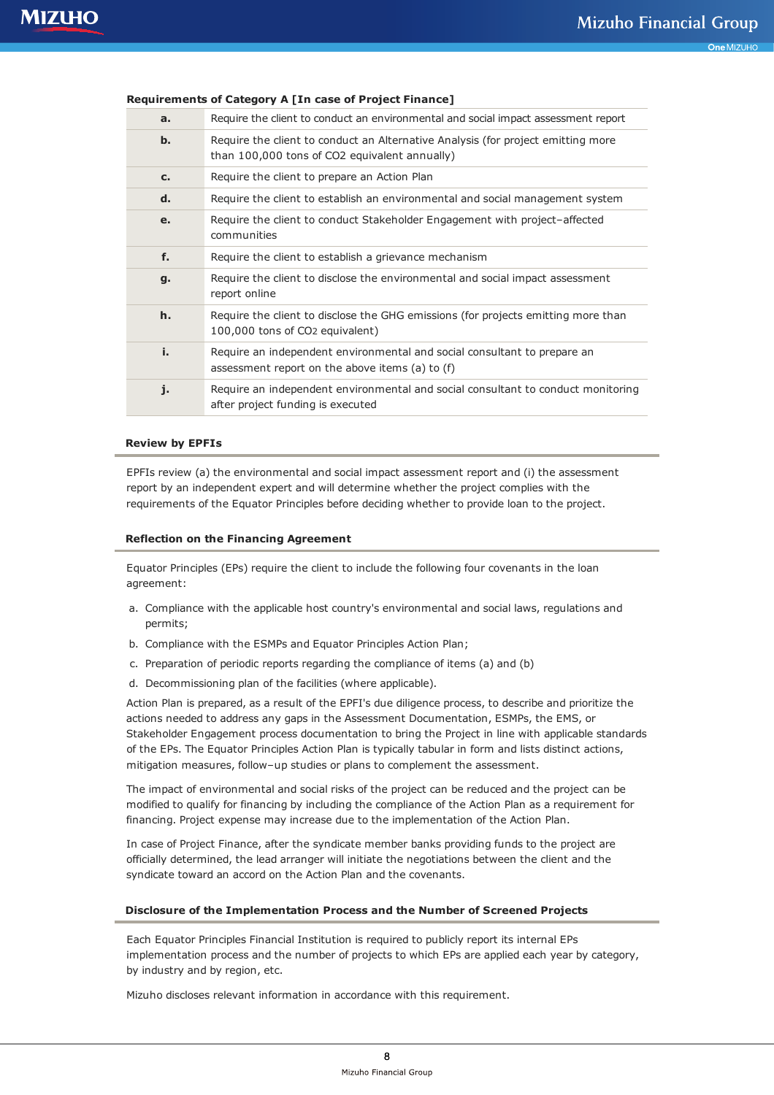|             | Requirements of Category A [III Case of Froject Finance]                                                                          |
|-------------|-----------------------------------------------------------------------------------------------------------------------------------|
| a.          | Require the client to conduct an environmental and social impact assessment report                                                |
| b.          | Require the client to conduct an Alternative Analysis (for project emitting more<br>than 100,000 tons of CO2 equivalent annually) |
| $c_{\cdot}$ | Require the client to prepare an Action Plan                                                                                      |
| d.          | Require the client to establish an environmental and social management system                                                     |
| e.          | Require the client to conduct Stakeholder Engagement with project-affected<br>communities                                         |
| f.          | Require the client to establish a grievance mechanism                                                                             |
| g.          | Require the client to disclose the environmental and social impact assessment<br>report online                                    |
| h.          | Require the client to disclose the GHG emissions (for projects emitting more than<br>100,000 tons of CO <sub>2</sub> equivalent)  |
| i.          | Require an independent environmental and social consultant to prepare an<br>assessment report on the above items (a) to (f)       |
| j.          | Require an independent environmental and social consultant to conduct monitoring<br>after project funding is executed             |

# **Requirements of Category A [In case of Project Finance]**

#### **Review by EPFIs**

EPFIs review (a) the environmental and social impact assessment report and (i) the assessment report by an independent expert and will determine whether the project complies with the requirements of the Equator Principles before deciding whether to provide loan to the project.

#### **Reflection on the Financing Agreement**

Equator Principles (EPs) require the client to include the following four covenants in the loan agreement:

- a. Compliance with the applicable host country's environmental and social laws, regulations and permits;
- b. Compliance with the ESMPs and Equator Principles Action Plan;
- c. Preparation of periodic reports regarding the compliance of items (a) and (b)
- d. Decommissioning plan of the facilities (where applicable).

Action Plan is prepared, as a result of the EPFI's due diligence process, to describe and prioritize the actions needed to address any gaps in the Assessment Documentation, ESMPs, the EMS, or Stakeholder Engagement process documentation to bring the Project in line with applicable standards of the EPs. The Equator Principles Action Plan is typically tabular in form and lists distinct actions, mitigation measures, follow–up studies or plans to complement the assessment.

The impact of environmental and social risks of the project can be reduced and the project can be modified to qualify for financing by including the compliance of the Action Plan as a requirement for financing. Project expense may increase due to the implementation of the Action Plan.

In case of Project Finance, after the syndicate member banks providing funds to the project are officially determined, the lead arranger will initiate the negotiations between the client and the syndicate toward an accord on the Action Plan and the covenants.

## **Disclosure of the Implementation Process and the Number of Screened Projects**

Each Equator Principles Financial Institution is required to publicly report its internal EPs implementation process and the number of projects to which EPs are applied each year by category, by industry and by region, etc.

Mizuho discloses relevant information in accordance with this requirement.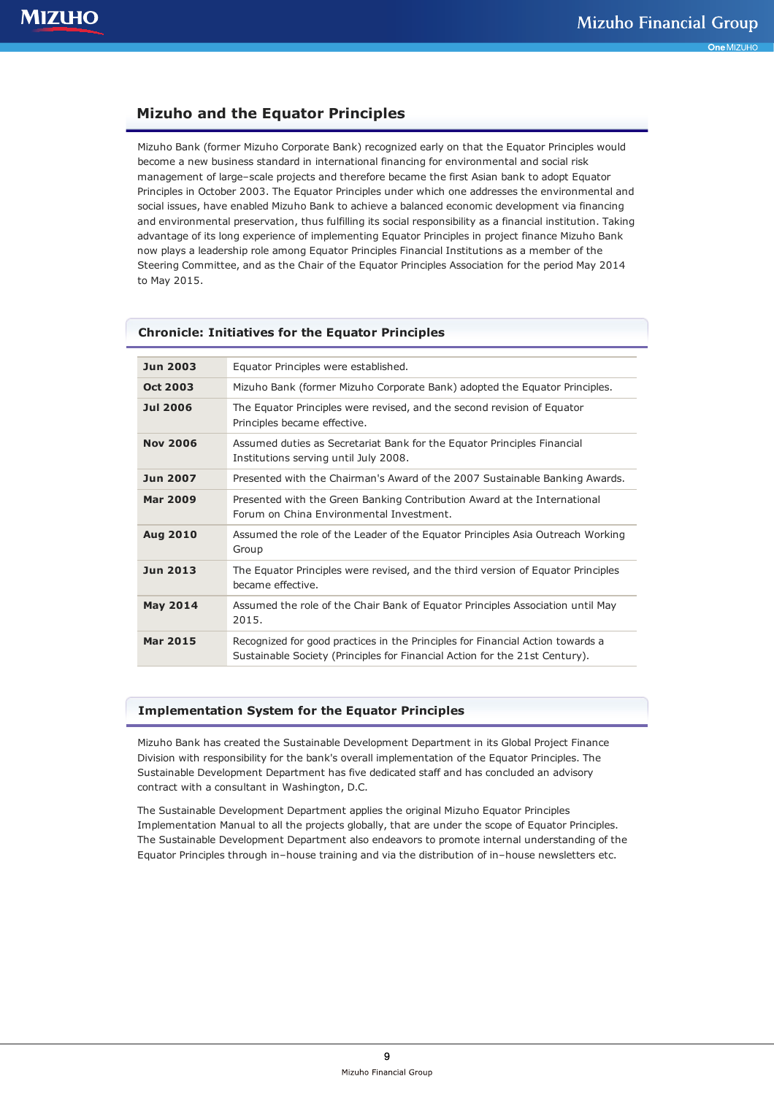# **Mizuho and the Equator Principles**

Mizuho Bank (former Mizuho Corporate Bank) recognized early on that the Equator Principles would become a new business standard in international financing for environmental and social risk management of large–scale projects and therefore became the first Asian bank to adopt Equator Principles in October 2003. The Equator Principles under which one addresses the environmental and social issues, have enabled Mizuho Bank to achieve a balanced economic development via financing and environmental preservation, thus fulfilling its social responsibility as a financial institution. Taking advantage of its long experience of implementing Equator Principles in project finance Mizuho Bank now plays a leadership role among Equator Principles Financial Institutions as a member of the Steering Committee, and as the Chair of the Equator Principles Association for the period May 2014 to May 2015.

# **Chronicle: Initiatives for the Equator Principles Jun 2003** Equator Principles were established. **Oct 2003** Mizuho Bank (former Mizuho Corporate Bank) adopted the Equator Principles. **Jul 2006** The Equator Principles were revised, and the second revision of Equator Principles became effective. **Nov 2006** Assumed duties as Secretariat Bank for the Equator Principles Financial Institutions serving until July 2008. **Jun 2007** Presented with the Chairman's Award of the 2007 Sustainable Banking Awards. **Mar 2009** Presented with the Green Banking Contribution Award at the International Forum on China Environmental Investment. **Aug 2010** Assumed the role of the Leader of the Equator Principles Asia Outreach Working Group **Jun 2013** The Equator Principles were revised, and the third version of Equator Principles became effective. **May 2014** Assumed the role of the Chair Bank of Equator Principles Association until May 2015. **Mar 2015** Recognized for good practices in the Principles for Financial Action towards a Sustainable Society (Principles for Financial Action for the 21st Century).

#### **Implementation System for the Equator Principles**

Mizuho Bank has created the Sustainable Development Department in its Global Project Finance Division with responsibility for the bank's overall implementation of the Equator Principles. The Sustainable Development Department has five dedicated staff and has concluded an advisory contract with a consultant in Washington, D.C.

The Sustainable Development Department applies the original Mizuho Equator Principles Implementation Manual to all the projects globally, that are under the scope of Equator Principles. The Sustainable Development Department also endeavors to promote internal understanding of the Equator Principles through in–house training and via the distribution of in–house newsletters etc.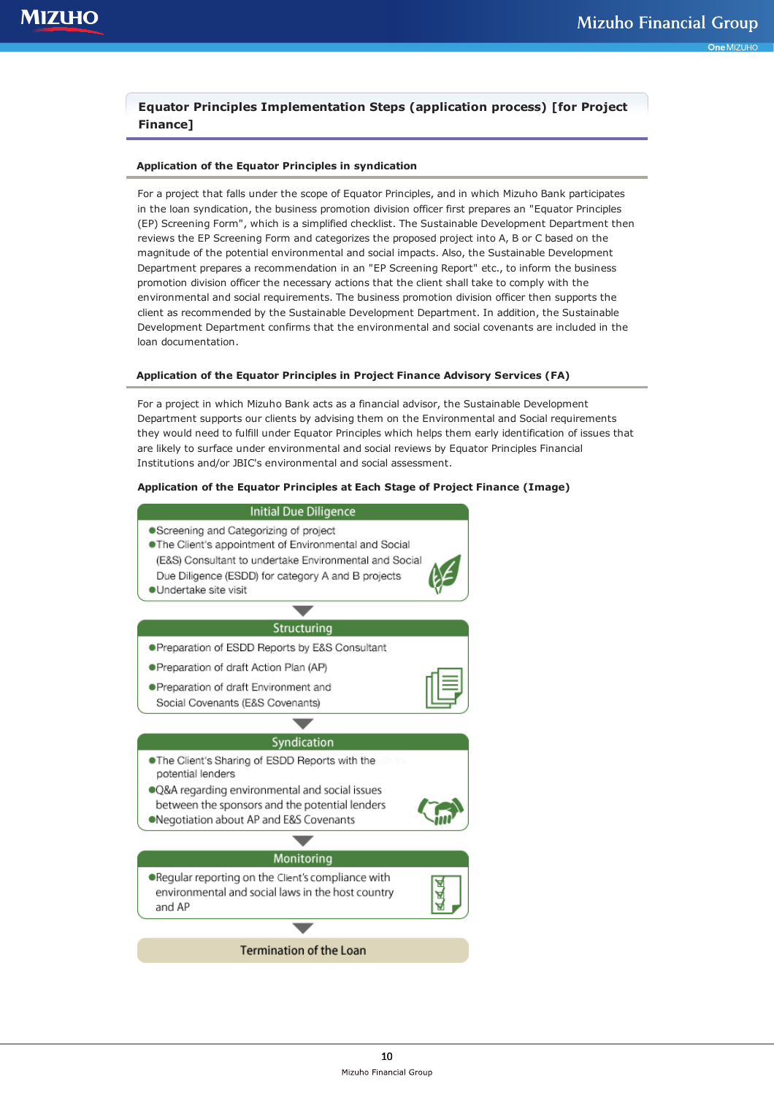# **Equator Principles Implementation Steps (application process) [for Project Finance]**

### **Application of the Equator Principles in syndication**

For a project that falls under the scope of Equator Principles, and in which Mizuho Bank participates in the loan syndication, the business promotion division officer first prepares an "Equator Principles (EP) Screening Form", which is a simplified checklist. The Sustainable Development Department then reviews the EP Screening Form and categorizes the proposed project into A, B or C based on the magnitude of the potential environmental and social impacts. Also, the Sustainable Development Department prepares a recommendation in an "EP Screening Report" etc., to inform the business promotion division officer the necessary actions that the client shall take to comply with the environmental and social requirements. The business promotion division officer then supports the client as recommended by the Sustainable Development Department. In addition, the Sustainable Development Department confirms that the environmental and social covenants are included in the loan documentation.

### **Application of the Equator Principles in Project Finance Advisory Services (FA)**

For a project in which Mizuho Bank acts as a financial advisor, the Sustainable Development Department supports our clients by advising them on the Environmental and Social requirements they would need to fulfill under Equator Principles which helps them early identification of issues that are likely to surface under environmental and social reviews by Equator Principles Financial Institutions and/or JBIC's environmental and social assessment.

### **Application of the Equator Principles at Each Stage of Project Finance (Image)**

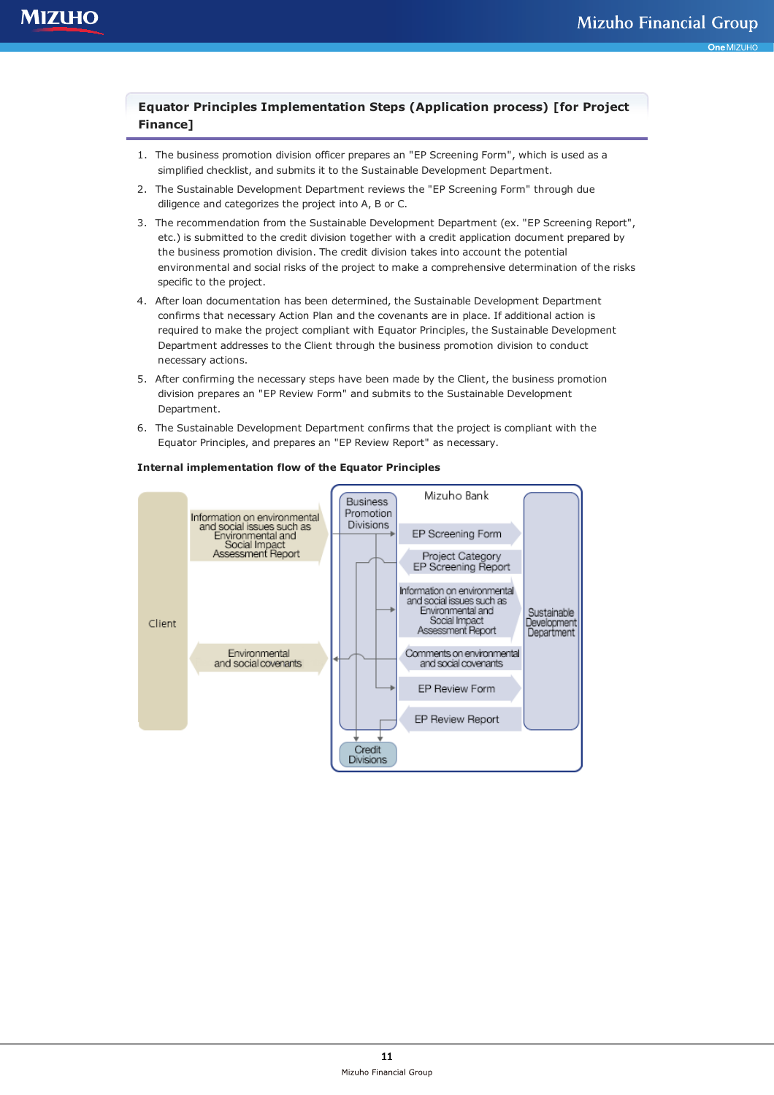# **Equator Principles Implementation Steps (Application process) [for Project Finance]**

- 1. The business promotion division officer prepares an "EP Screening Form", which is used as a simplified checklist, and submits it to the Sustainable Development Department.
- 2. The Sustainable Development Department reviews the "EP Screening Form" through due diligence and categorizes the project into A, B or C.
- 3. The recommendation from the Sustainable Development Department (ex. "EP Screening Report", etc.) is submitted to the credit division together with a credit application document prepared by the business promotion division. The credit division takes into account the potential environmental and social risks of the project to make a comprehensive determination of the risks specific to the project.
- 4. After loan documentation has been determined, the Sustainable Development Department confirms that necessary Action Plan and the covenants are in place. If additional action is required to make the project compliant with Equator Principles, the Sustainable Development Department addresses to the Client through the business promotion division to conduct necessary actions.
- 5. After confirming the necessary steps have been made by the Client, the business promotion division prepares an "EP Review Form" and submits to the Sustainable Development Department.
- 6. The Sustainable Development Department confirms that the project is compliant with the Equator Principles, and prepares an "EP Review Report" as necessary.



### **Internal implementation flow of the Equator Principles**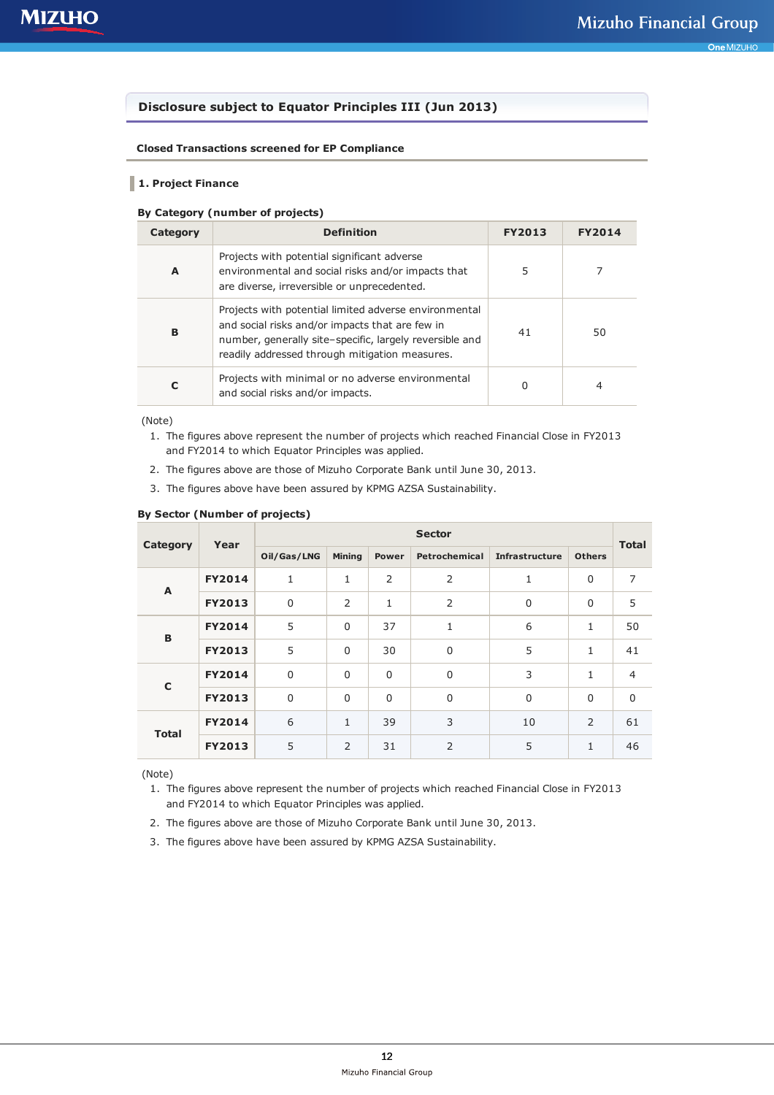# **Disclosure subject to Equator Principles III (Jun 2013)**

### **Closed Transactions screened for EP Compliance**

## **1. Project Finance**

### **By Category (number of projects)**

| Category | <b>Definition</b>                                                                                                                                                                                                     | <b>FY2013</b> | <b>FY2014</b> |
|----------|-----------------------------------------------------------------------------------------------------------------------------------------------------------------------------------------------------------------------|---------------|---------------|
| A        | Projects with potential significant adverse<br>environmental and social risks and/or impacts that<br>are diverse, irreversible or unprecedented.                                                                      | 5             |               |
| B        | Projects with potential limited adverse environmental<br>and social risks and/or impacts that are few in<br>number, generally site-specific, largely reversible and<br>readily addressed through mitigation measures. | 41            | 50            |
| C        | Projects with minimal or no adverse environmental<br>and social risks and/or impacts.                                                                                                                                 | 0             | 4             |

(Note)

- 1. The figures above represent the number of projects which reached Financial Close in FY2013 and FY2014 to which Equator Principles was applied.
- 2. The figures above are those of Mizuho Corporate Bank until June 30, 2013.
- 3. The figures above have been assured by KPMG AZSA Sustainability.

#### **By Sector (Number of projects)**

| Category     | Year          | <b>Sector</b> |                |             |                |                       |               |                |  |
|--------------|---------------|---------------|----------------|-------------|----------------|-----------------------|---------------|----------------|--|
|              |               | Oil/Gas/LNG   | <b>Mining</b>  | Power       | Petrochemical  | <b>Infrastructure</b> | <b>Others</b> | <b>Total</b>   |  |
| A            | <b>FY2014</b> | 1             | 1              | 2           | $\overline{2}$ | 1                     | 0             | $\overline{7}$ |  |
|              | <b>FY2013</b> | $\mathbf 0$   | $\overline{2}$ | 1           | $\overline{2}$ | $\mathbf 0$           | 0             | 5              |  |
| B            | <b>FY2014</b> | 5             | $\mathbf 0$    | 37          | 1              | 6                     | $\mathbf{1}$  | 50             |  |
|              | <b>FY2013</b> | 5             | $\mathbf 0$    | 30          | $\mathbf 0$    | 5                     | $\mathbf{1}$  | 41             |  |
| $\mathbf C$  | <b>FY2014</b> | 0             | $\mathbf 0$    | $\mathbf 0$ | $\mathbf 0$    | 3                     | $\mathbf{1}$  | $\overline{4}$ |  |
|              | <b>FY2013</b> | $\mathbf 0$   | $\mathbf 0$    | $\mathbf 0$ | $\Omega$       | $\Omega$              | $\Omega$      | $\mathbf 0$    |  |
| <b>Total</b> | <b>FY2014</b> | 6             | $\mathbf{1}$   | 39          | 3              | 10                    | 2             | 61             |  |
|              | <b>FY2013</b> | 5             | $\overline{2}$ | 31          | $\overline{2}$ | 5                     | 1             | 46             |  |

(Note)

- 1. The figures above represent the number of projects which reached Financial Close in FY2013 and FY2014 to which Equator Principles was applied.
- 2. The figures above are those of Mizuho Corporate Bank until June 30, 2013.
- 3. The figures above have been assured by KPMG AZSA Sustainability.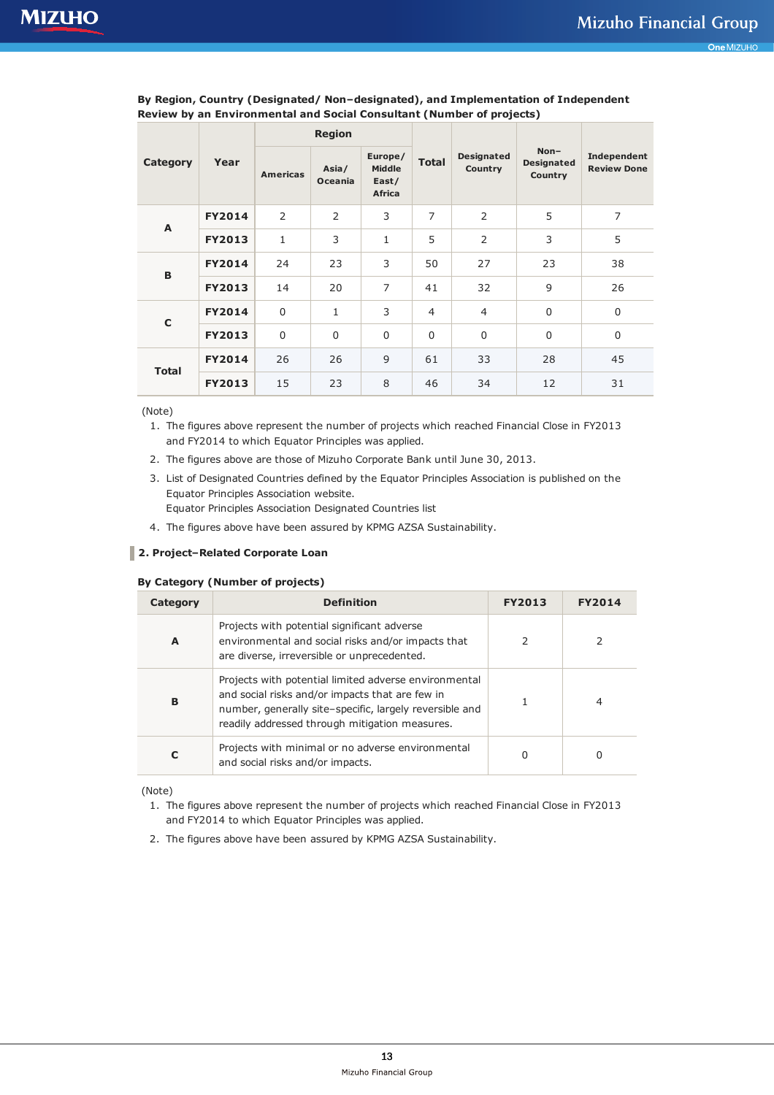|              |               | <b>Region</b>   |                         |                                                    |                |                              |                                        |                                   |  |
|--------------|---------------|-----------------|-------------------------|----------------------------------------------------|----------------|------------------------------|----------------------------------------|-----------------------------------|--|
| Category     | Year          | <b>Americas</b> | Asia/<br><b>Oceania</b> | Europe/<br><b>Middle</b><br>East/<br><b>Africa</b> | <b>Total</b>   | <b>Designated</b><br>Country | $Non-$<br><b>Designated</b><br>Country | Independent<br><b>Review Done</b> |  |
| A            | <b>FY2014</b> | 2               | 2                       | 3                                                  | $\overline{7}$ | 2                            | 5                                      | $\overline{7}$                    |  |
|              | <b>FY2013</b> | $\mathbf{1}$    | 3                       | 1                                                  | 5              | 2                            | 3                                      | 5                                 |  |
| B            | <b>FY2014</b> | 24              | 23                      | 3                                                  | 50             | 27                           | 23                                     | 38                                |  |
|              | <b>FY2013</b> | 14              | 20                      | $\overline{7}$                                     | 41             | 32                           | 9                                      | 26                                |  |
| $\mathbf C$  | <b>FY2014</b> | $\mathbf 0$     | $\mathbf{1}$            | 3                                                  | $\overline{4}$ | $\overline{4}$               | $\mathbf 0$                            | $\mathbf 0$                       |  |
|              | <b>FY2013</b> | $\Omega$        | $\mathbf 0$             | $\mathbf 0$                                        | $\mathbf 0$    | $\mathbf 0$                  | $\mathbf 0$                            | $\overline{0}$                    |  |
| <b>Total</b> | <b>FY2014</b> | 26              | 26                      | 9                                                  | 61             | 33                           | 28                                     | 45                                |  |
|              | <b>FY2013</b> | 15              | 23                      | 8                                                  | 46             | 34                           | 12                                     | 31                                |  |

**By Region, Country (Designated/ Non–designated), and Implementation of Independent Review by an Environmental and Social Consultant (Number of projects)**

(Note)

- 1. The figures above represent the number of projects which reached Financial Close in FY2013 and FY2014 to which Equator Principles was applied.
- 2. The figures above are those of Mizuho Corporate Bank until June 30, 2013.
- 3. List of Designated Countries defined by the Equator Principles Association is published on the Equator Principles Association website. Equator Principles Association Designated Countries list

4. The figures above have been assured by KPMG AZSA Sustainability.

## **2. Project–Related Corporate Loan**

### **By Category (Number of projects)**

| Category | <b>Definition</b>                                                                                                                                                                                                     | <b>FY2013</b> | <b>FY2014</b> |
|----------|-----------------------------------------------------------------------------------------------------------------------------------------------------------------------------------------------------------------------|---------------|---------------|
| A        | Projects with potential significant adverse<br>environmental and social risks and/or impacts that<br>are diverse, irreversible or unprecedented.                                                                      | フ             |               |
| B        | Projects with potential limited adverse environmental<br>and social risks and/or impacts that are few in<br>number, generally site-specific, largely reversible and<br>readily addressed through mitigation measures. |               |               |
|          | Projects with minimal or no adverse environmental<br>and social risks and/or impacts.                                                                                                                                 | 0             | U             |

(Note)

- 1. The figures above represent the number of projects which reached Financial Close in FY2013 and FY2014 to which Equator Principles was applied.
- 2. The figures above have been assured by KPMG AZSA Sustainability.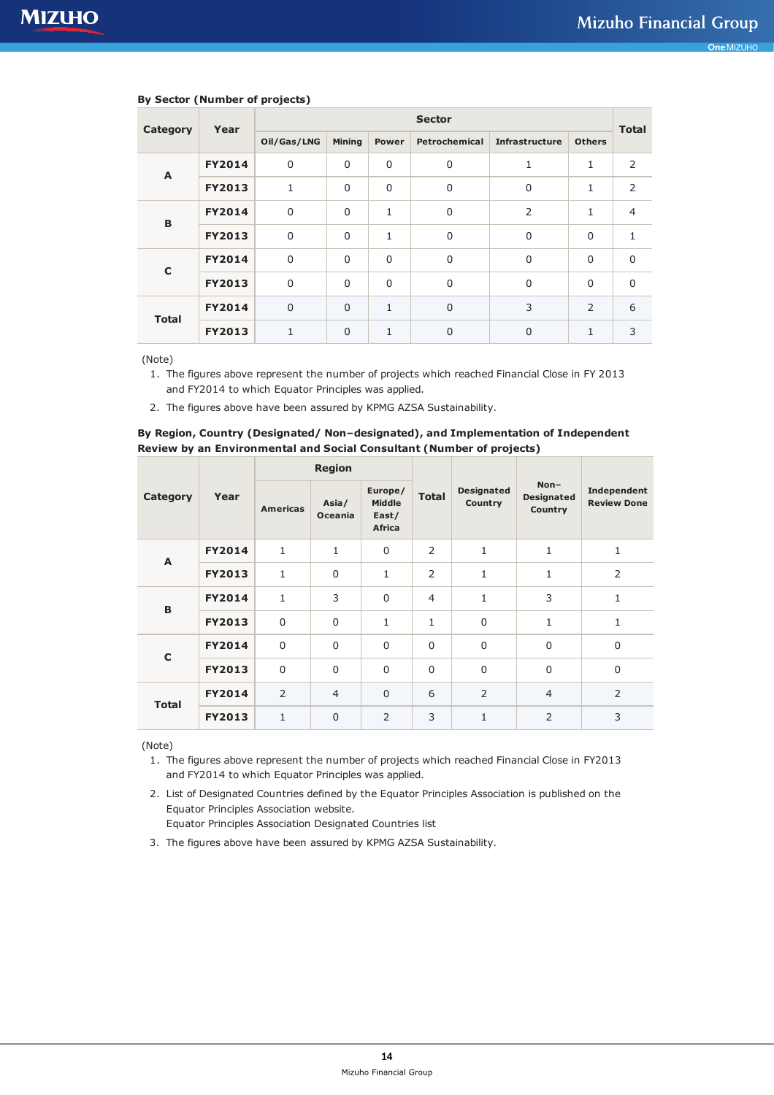| Category     | Year          | <b>Sector</b> |                |              |                |                       |               |                |
|--------------|---------------|---------------|----------------|--------------|----------------|-----------------------|---------------|----------------|
|              |               | Oil/Gas/LNG   | <b>Mining</b>  | Power        | Petrochemical  | <b>Infrastructure</b> | <b>Others</b> | <b>Total</b>   |
| A            | <b>FY2014</b> | $\mathbf 0$   | 0              | $\mathbf 0$  | $\mathbf 0$    | 1                     | 1             | $\overline{2}$ |
|              | <b>FY2013</b> | 1             | $\mathbf 0$    | $\mathbf 0$  | $\mathbf 0$    | $\Omega$              | 1             | 2              |
| B            | <b>FY2014</b> | $\mathbf 0$   | 0              | $\mathbf{1}$ | $\mathbf 0$    | $\overline{2}$        | 1             | $\overline{4}$ |
|              | <b>FY2013</b> | $\mathbf 0$   | $\mathbf 0$    | $\mathbf{1}$ | $\Omega$       | $\Omega$              | $\Omega$      | 1              |
| $\mathbf C$  | <b>FY2014</b> | $\mathbf 0$   | $\mathbf 0$    | $\Omega$     | $\mathbf 0$    | $\Omega$              | $\Omega$      | $\mathbf 0$    |
|              | <b>FY2013</b> | $\mathbf 0$   | 0              | $\mathbf 0$  | $\mathbf 0$    | $\Omega$              | $\Omega$      | 0              |
| <b>Total</b> | <b>FY2014</b> | $\mathbf 0$   | $\overline{0}$ | $\mathbf{1}$ | $\overline{0}$ | 3                     | 2             | 6              |
|              | <b>FY2013</b> | $\mathbf{1}$  | $\overline{0}$ | 1            | $\mathbf 0$    | $\Omega$              | 1             | 3              |

### **By Sector (Number of projects)**

(Note)

1. The figures above represent the number of projects which reached Financial Close in FY 2013 and FY2014 to which Equator Principles was applied.

2. The figures above have been assured by KPMG AZSA Sustainability.

# **By Region, Country (Designated/ Non–designated), and Implementation of Independent Review by an Environmental and Social Consultant (Number of projects) Region**

|              |               | <b>Region</b>   |                         |                                                    |                |                              |                                        |                                   |  |
|--------------|---------------|-----------------|-------------------------|----------------------------------------------------|----------------|------------------------------|----------------------------------------|-----------------------------------|--|
| Category     | Year          | <b>Americas</b> | Asia/<br><b>Oceania</b> | Europe/<br><b>Middle</b><br>East/<br><b>Africa</b> | <b>Total</b>   | <b>Designated</b><br>Country | $Non-$<br><b>Designated</b><br>Country | Independent<br><b>Review Done</b> |  |
| A            | <b>FY2014</b> | $\mathbf{1}$    | $\mathbf{1}$            | $\Omega$                                           | 2              | 1                            | 1                                      | 1                                 |  |
|              | <b>FY2013</b> | $\mathbf{1}$    | $\mathbf 0$             | $\mathbf{1}$                                       | $\overline{2}$ | 1                            | 1                                      | $\overline{2}$                    |  |
| B            | <b>FY2014</b> | $\mathbf{1}$    | 3                       | $\Omega$                                           | $\overline{4}$ | 1                            | 3                                      | $\mathbf{1}$                      |  |
|              | <b>FY2013</b> | $\mathbf 0$     | $\mathbf 0$             | $\mathbf{1}$                                       | 1              | $\mathbf 0$                  | 1                                      | $\mathbf{1}$                      |  |
| $\mathbf C$  | <b>FY2014</b> | $\mathbf 0$     | $\mathbf 0$             | $\Omega$                                           | $\mathbf 0$    | $\mathbf 0$                  | $\mathbf 0$                            | $\overline{0}$                    |  |
|              | <b>FY2013</b> | $\mathbf 0$     | $\mathbf 0$             | $\Omega$                                           | $\Omega$       | $\mathbf 0$                  | $\Omega$                               | $\overline{0}$                    |  |
| <b>Total</b> | <b>FY2014</b> | $\overline{2}$  | $\overline{4}$          | $\mathbf{0}$                                       | 6              | 2                            | $\overline{4}$                         | $\overline{2}$                    |  |
|              | <b>FY2013</b> | $\mathbf{1}$    | $\mathbf 0$             | $\overline{2}$                                     | 3              | 1                            | $\overline{2}$                         | 3                                 |  |

(Note)

1. The figures above represent the number of projects which reached Financial Close in FY2013 and FY2014 to which Equator Principles was applied.

2. List of Designated Countries defined by the Equator Principles Association is published on the Equator Principles Association website.

Equator Principles Association Designated Countries list

3. The figures above have been assured by KPMG AZSA Sustainability.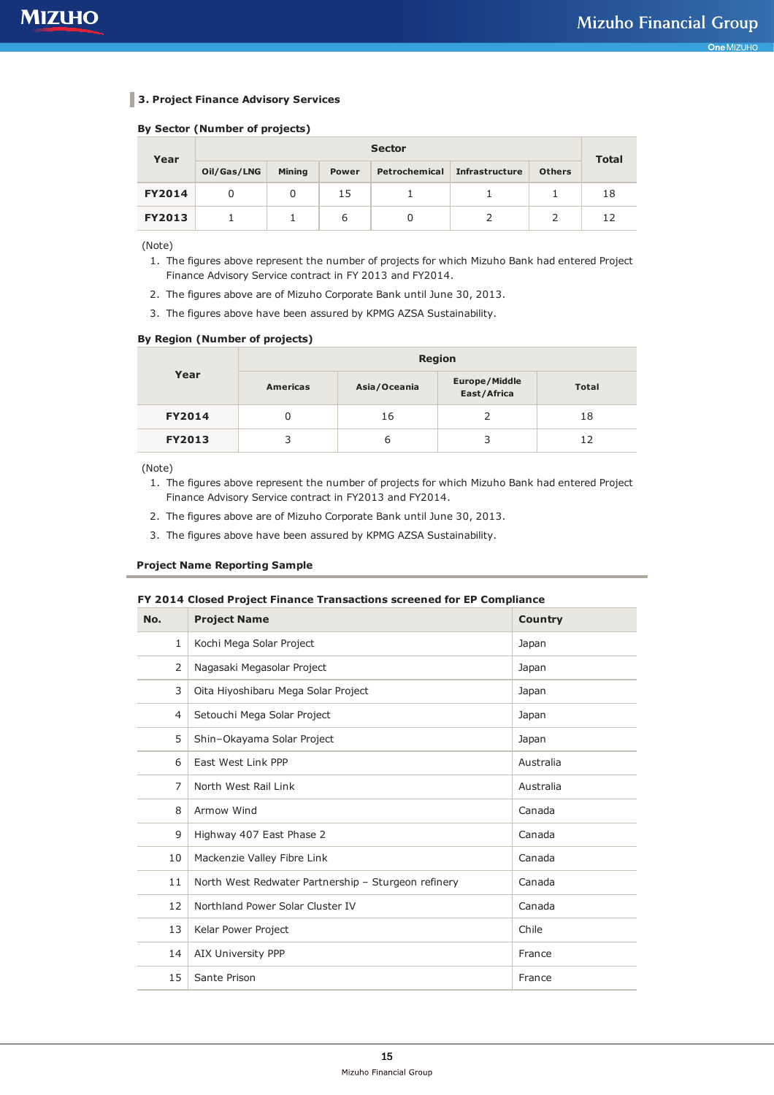## **3. Project Finance Advisory Services**

#### **By Sector (Number of projects)**

| Year          | <b>Sector</b> |               |              |               |                       |               |              |  |
|---------------|---------------|---------------|--------------|---------------|-----------------------|---------------|--------------|--|
|               | Oil/Gas/LNG   | <b>Mining</b> | <b>Power</b> | Petrochemical | <b>Infrastructure</b> | <b>Others</b> | <b>Total</b> |  |
| <b>FY2014</b> |               |               | 15           |               |                       |               | 18           |  |
| <b>FY2013</b> |               |               | 6            |               |                       |               |              |  |

(Note)

- 1. The figures above represent the number of projects for which Mizuho Bank had entered Project Finance Advisory Service contract in FY 2013 and FY2014.
- 2. The figures above are of Mizuho Corporate Bank until June 30, 2013.
- 3. The figures above have been assured by KPMG AZSA Sustainability.

### **By Region (Number of projects)**

|               | <b>Region</b>   |              |                                     |              |  |  |  |  |  |
|---------------|-----------------|--------------|-------------------------------------|--------------|--|--|--|--|--|
| Year          | <b>Americas</b> | Asia/Oceania | <b>Europe/Middle</b><br>East/Africa | <b>Total</b> |  |  |  |  |  |
| <b>FY2014</b> |                 | 16           |                                     | 18           |  |  |  |  |  |
| <b>FY2013</b> | 3               | ь            | 3                                   | 12           |  |  |  |  |  |

(Note)

- 1. The figures above represent the number of projects for which Mizuho Bank had entered Project Finance Advisory Service contract in FY2013 and FY2014.
- 2. The figures above are of Mizuho Corporate Bank until June 30, 2013.
- 3. The figures above have been assured by KPMG AZSA Sustainability.

#### **Project Name Reporting Sample**

#### **FY 2014 Closed Project Finance Transactions screened for EP Compliance**

| No.          | <b>Project Name</b>                                 | <b>Country</b> |
|--------------|-----------------------------------------------------|----------------|
| $\mathbf{1}$ | Kochi Mega Solar Project                            | Japan          |
| 2            | Nagasaki Megasolar Project                          | Japan          |
| 3            | Oita Hiyoshibaru Mega Solar Project                 | Japan          |
| 4            | Setouchi Mega Solar Project                         | Japan          |
| 5            | Shin-Okayama Solar Project                          | Japan          |
| 6            | East West Link PPP                                  | Australia      |
| 7            | North West Rail Link                                | Australia      |
| 8            | Armow Wind                                          | Canada         |
| 9            | Highway 407 East Phase 2                            | Canada         |
| 10           | Mackenzie Valley Fibre Link                         | Canada         |
| 11           | North West Redwater Partnership - Sturgeon refinery | Canada         |
| 12           | Northland Power Solar Cluster IV                    | Canada         |
| 13           | Kelar Power Project                                 | Chile          |
| 14           | AIX University PPP                                  | France         |
| 15           | Sante Prison                                        | France         |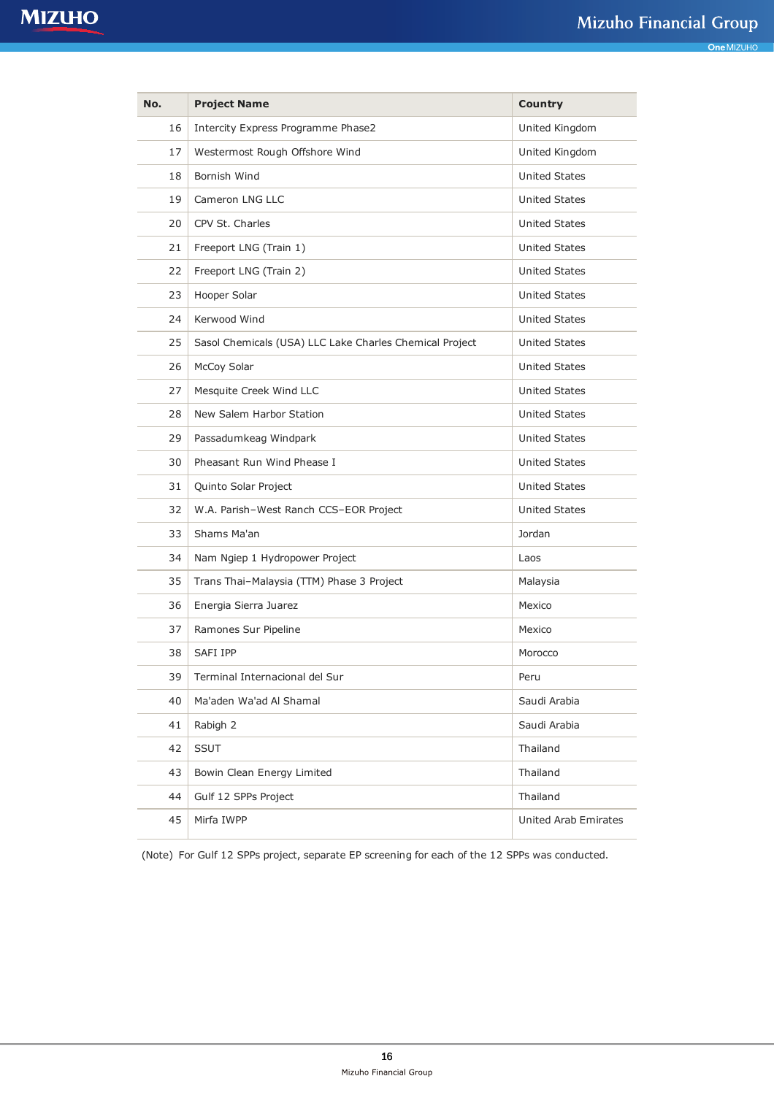| No. | <b>Project Name</b>                                     | <b>Country</b>       |
|-----|---------------------------------------------------------|----------------------|
| 16  | Intercity Express Programme Phase2                      | United Kingdom       |
| 17  | Westermost Rough Offshore Wind                          | United Kingdom       |
| 18  | Bornish Wind                                            | <b>United States</b> |
| 19  | Cameron LNG LLC                                         | <b>United States</b> |
| 20  | CPV St. Charles                                         | <b>United States</b> |
| 21  | Freeport LNG (Train 1)                                  | <b>United States</b> |
| 22  | Freeport LNG (Train 2)                                  | <b>United States</b> |
| 23  | Hooper Solar                                            | <b>United States</b> |
| 24  | Kerwood Wind                                            | <b>United States</b> |
| 25  | Sasol Chemicals (USA) LLC Lake Charles Chemical Project | <b>United States</b> |
| 26  | McCoy Solar                                             | <b>United States</b> |
| 27  | Mesquite Creek Wind LLC                                 | <b>United States</b> |
| 28  | New Salem Harbor Station                                | <b>United States</b> |
| 29  | Passadumkeag Windpark                                   | <b>United States</b> |
| 30  | Pheasant Run Wind Phease I                              | <b>United States</b> |
| 31  | Quinto Solar Project                                    | <b>United States</b> |
| 32  | W.A. Parish-West Ranch CCS-EOR Project                  | <b>United States</b> |
| 33  | Shams Ma'an                                             | Jordan               |
| 34  | Nam Ngiep 1 Hydropower Project                          | Laos                 |
| 35  | Trans Thai-Malaysia (TTM) Phase 3 Project               | Malaysia             |
| 36  | Energia Sierra Juarez                                   | Mexico               |
| 37  | Ramones Sur Pipeline                                    | Mexico               |
| 38  | SAFI IPP                                                | Morocco              |
| 39  | Terminal Internacional del Sur                          | Peru                 |
| 40  | Ma'aden Wa'ad Al Shamal                                 | Saudi Arabia         |
| 41  | Rabigh 2                                                | Saudi Arabia         |
| 42  | <b>SSUT</b>                                             | Thailand             |
| 43  | Bowin Clean Energy Limited                              | Thailand             |
| 44  | Gulf 12 SPPs Project                                    | Thailand             |
| 45  | Mirfa IWPP                                              | United Arab Emirates |

(Note) For Gulf 12 SPPs project, separate EP screening for each of the 12 SPPs was conducted.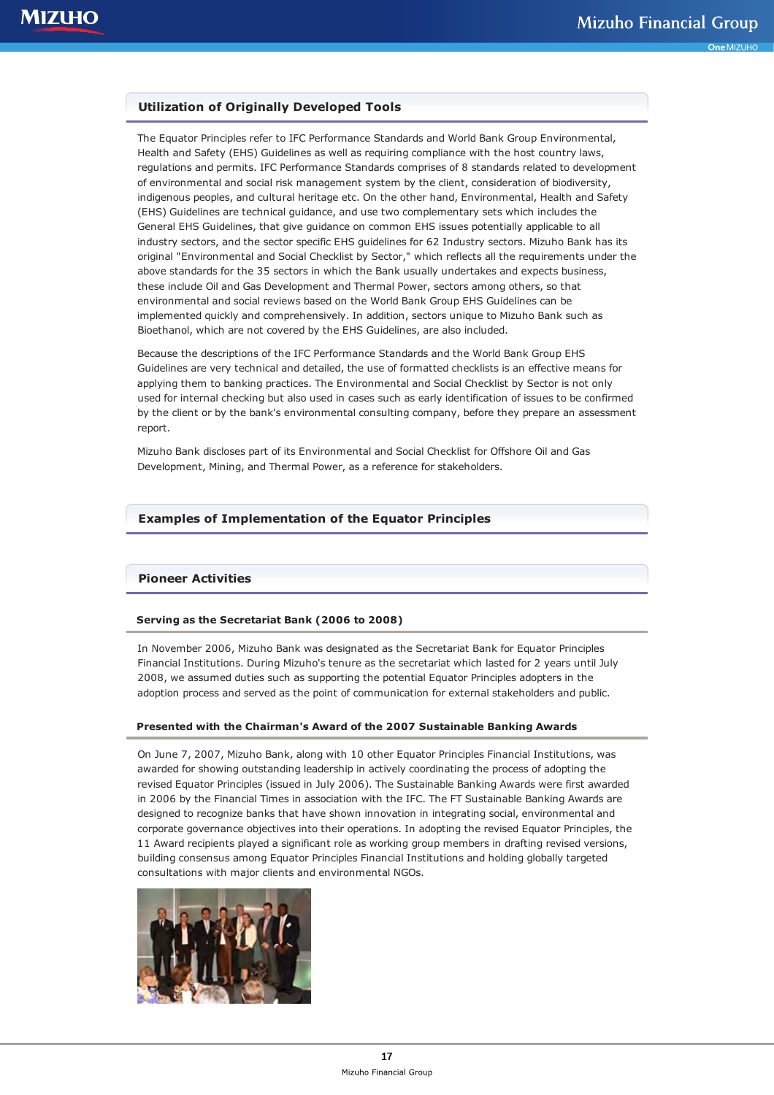# **Utilization of Originally Developed Tools**

The Equator Principles refer to IFC Performance Standards and World Bank Group Environmental, Health and Safety (EHS) Guidelines as well as requiring compliance with the host country laws, regulations and permits. IFC Performance Standards comprises of 8 standards related to development of environmental and social risk management system by the client, consideration of biodiversity, indigenous peoples, and cultural heritage etc. On the other hand, Environmental, Health and Safety (EHS) Guidelines are technical guidance, and use two complementary sets which includes the General EHS Guidelines, that give guidance on common EHS issues potentially applicable to all industry sectors, and the sector specific EHS guidelines for 62 Industry sectors. Mizuho Bank has its original "Environmental and Social Checklist by Sector," which reflects all the requirements under the above standards for the 35 sectors in which the Bank usually undertakes and expects business, these include Oil and Gas Development and Thermal Power, sectors among others, so that environmental and social reviews based on the World Bank Group EHS Guidelines can be implemented quickly and comprehensively. In addition, sectors unique to Mizuho Bank such as Bioethanol, which are not covered by the EHS Guidelines, are also included.

Because the descriptions of the IFC Performance Standards and the World Bank Group EHS Guidelines are very technical and detailed, the use of formatted checklists is an effective means for applying them to banking practices. The Environmental and Social Checklist by Sector is not only used for internal checking but also used in cases such as early identification of issues to be confirmed by the client or by the bank's environmental consulting company, before they prepare an assessment report.

Mizuho Bank discloses part of its Environmental and Social Checklist for Offshore Oil and Gas Development, Mining, and Thermal Power, as a reference for stakeholders.

## **Examples of Implementation of the Equator Principles**

# **Pioneer Activities**

### **Serving as the Secretariat Bank (2006 to 2008)**

In November 2006, Mizuho Bank was designated as the Secretariat Bank for Equator Principles Financial Institutions. During Mizuho's tenure as the secretariat which lasted for 2 years until July 2008, we assumed duties such as supporting the potential Equator Principles adopters in the adoption process and served as the point of communication for external stakeholders and public.

#### **Presented with the Chairman's Award of the 2007 Sustainable Banking Awards**

On June 7, 2007, Mizuho Bank, along with 10 other Equator Principles Financial Institutions, was awarded for showing outstanding leadership in actively coordinating the process of adopting the revised Equator Principles (issued in July 2006). The Sustainable Banking Awards were first awarded in 2006 by the Financial Times in association with the IFC. The FT Sustainable Banking Awards are designed to recognize banks that have shown innovation in integrating social, environmental and corporate governance objectives into their operations. In adopting the revised Equator Principles, the 11 Award recipients played a significant role as working group members in drafting revised versions, building consensus among Equator Principles Financial Institutions and holding globally targeted consultations with major clients and environmental NGOs.

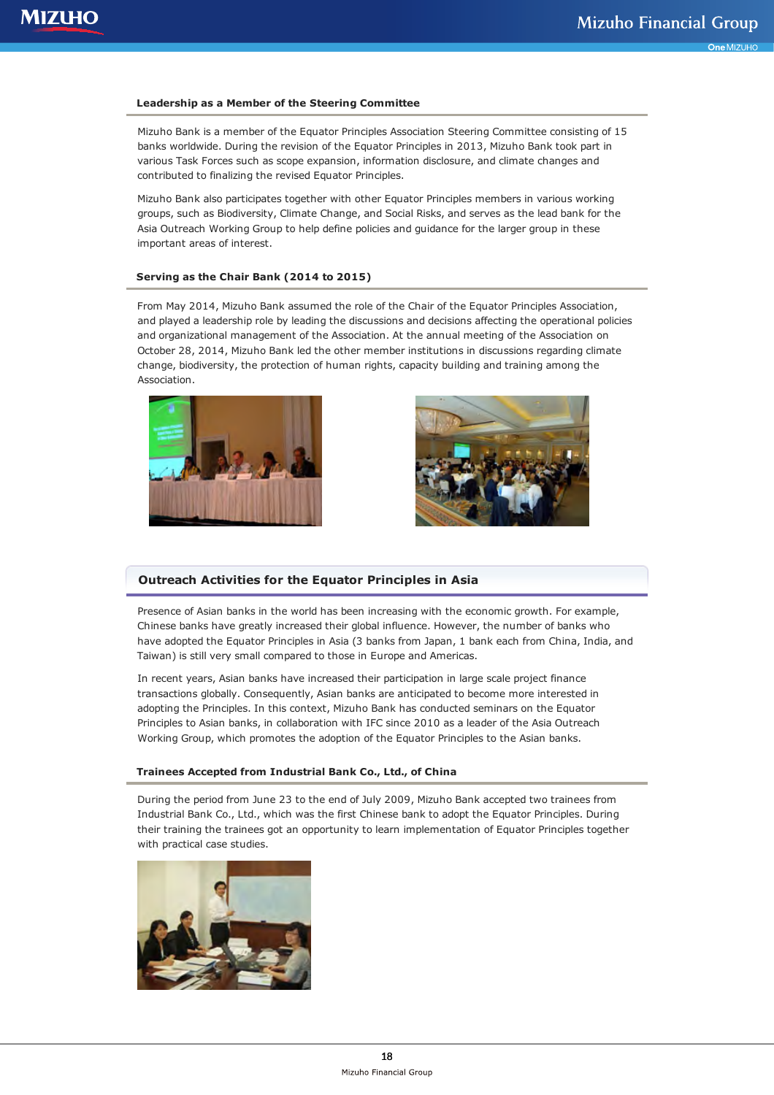#### **Leadership as a Member of the Steering Committee**

Mizuho Bank is a member of the Equator Principles Association Steering Committee consisting of 15 banks worldwide. During the revision of the Equator Principles in 2013, Mizuho Bank took part in various Task Forces such as scope expansion, information disclosure, and climate changes and contributed to finalizing the revised Equator Principles.

Mizuho Bank also participates together with other Equator Principles members in various working groups, such as Biodiversity, Climate Change, and Social Risks, and serves as the lead bank for the Asia Outreach Working Group to help define policies and guidance for the larger group in these important areas of interest.

#### **Serving as the Chair Bank (2014 to 2015)**

From May 2014, Mizuho Bank assumed the role of the Chair of the Equator Principles Association, and played a leadership role by leading the discussions and decisions affecting the operational policies and organizational management of the Association. At the annual meeting of the Association on October 28, 2014, Mizuho Bank led the other member institutions in discussions regarding climate change, biodiversity, the protection of human rights, capacity building and training among the Association.





#### **Outreach Activities for the Equator Principles in Asia**

Presence of Asian banks in the world has been increasing with the economic growth. For example, Chinese banks have greatly increased their global influence. However, the number of banks who have adopted the Equator Principles in Asia (3 banks from Japan, 1 bank each from China, India, and Taiwan) is still very small compared to those in Europe and Americas.

In recent years, Asian banks have increased their participation in large scale project finance transactions globally. Consequently, Asian banks are anticipated to become more interested in adopting the Principles. In this context, Mizuho Bank has conducted seminars on the Equator Principles to Asian banks, in collaboration with IFC since 2010 as a leader of the Asia Outreach Working Group, which promotes the adoption of the Equator Principles to the Asian banks.

#### **Trainees Accepted from Industrial Bank Co., Ltd., of China**

During the period from June 23 to the end of July 2009, Mizuho Bank accepted two trainees from Industrial Bank Co., Ltd., which was the first Chinese bank to adopt the Equator Principles. During their training the trainees got an opportunity to learn implementation of Equator Principles together with practical case studies.

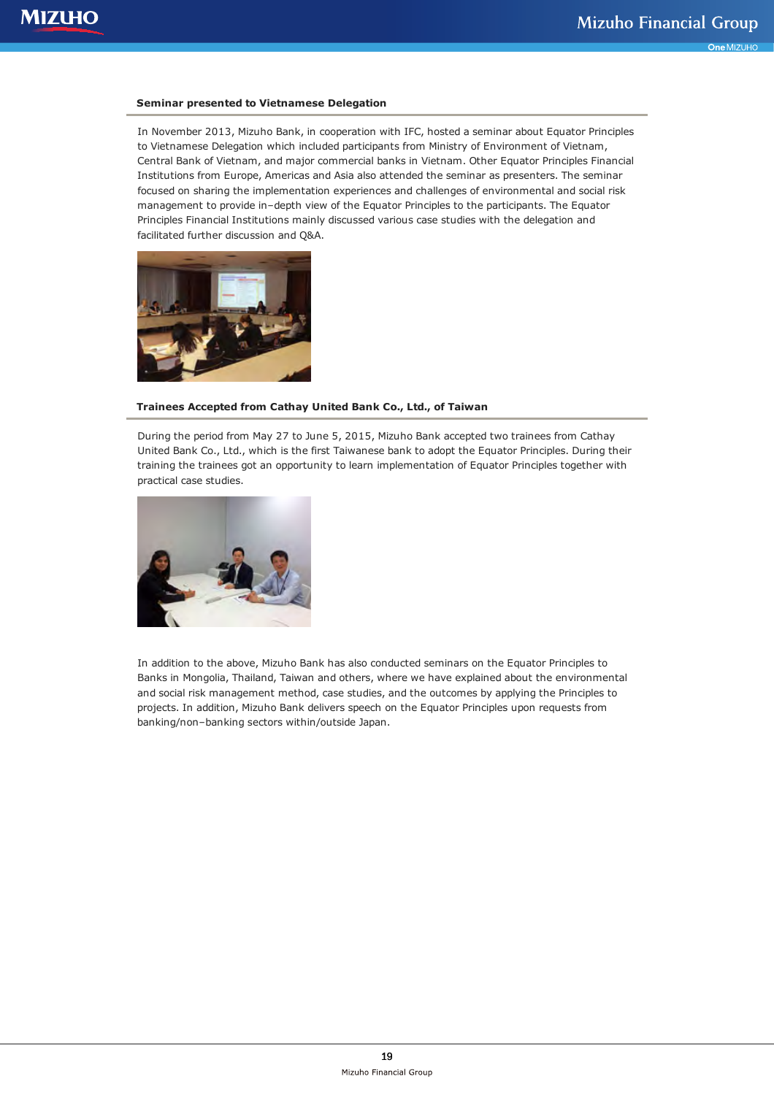#### **Seminar presented to Vietnamese Delegation**

In November 2013, Mizuho Bank, in cooperation with IFC, hosted a seminar about Equator Principles to Vietnamese Delegation which included participants from Ministry of Environment of Vietnam, Central Bank of Vietnam, and major commercial banks in Vietnam. Other Equator Principles Financial Institutions from Europe, Americas and Asia also attended the seminar as presenters. The seminar focused on sharing the implementation experiences and challenges of environmental and social risk management to provide in–depth view of the Equator Principles to the participants. The Equator Principles Financial Institutions mainly discussed various case studies with the delegation and facilitated further discussion and Q&A.



### **Trainees Accepted from Cathay United Bank Co., Ltd., of Taiwan**

During the period from May 27 to June 5, 2015, Mizuho Bank accepted two trainees from Cathay United Bank Co., Ltd., which is the first Taiwanese bank to adopt the Equator Principles. During their training the trainees got an opportunity to learn implementation of Equator Principles together with practical case studies.



In addition to the above, Mizuho Bank has also conducted seminars on the Equator Principles to Banks in Mongolia, Thailand, Taiwan and others, where we have explained about the environmental and social risk management method, case studies, and the outcomes by applying the Principles to projects. In addition, Mizuho Bank delivers speech on the Equator Principles upon requests from banking/non–banking sectors within/outside Japan.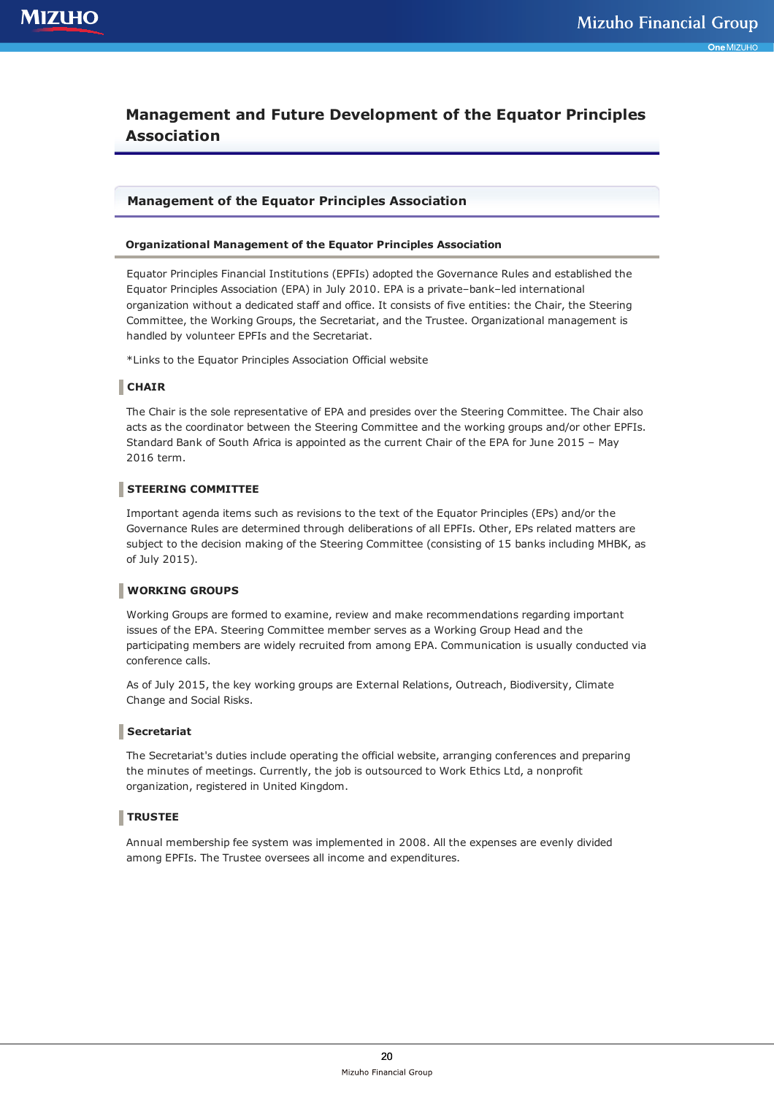# **Management and Future Development of the Equator Principles Association**

# **Management of the Equator Principles Association**

#### **Organizational Management of the Equator Principles Association**

Equator Principles Financial Institutions (EPFIs) adopted the Governance Rules and established the Equator Principles Association (EPA) in July 2010. EPA is a private–bank–led international organization without a dedicated staff and office. It consists of five entities: the Chair, the Steering Committee, the Working Groups, the Secretariat, and the Trustee. Organizational management is handled by volunteer EPFIs and the Secretariat.

\*Links to the Equator Principles Association Official website

# **CHAIR**

The Chair is the sole representative of EPA and presides over the Steering Committee. The Chair also acts as the coordinator between the Steering Committee and the working groups and/or other EPFIs. Standard Bank of South Africa is appointed as the current Chair of the EPA for June 2015 – May 2016 term.

## **STEERING COMMITTEE**

Important agenda items such as revisions to the text of the Equator Principles (EPs) and/or the Governance Rules are determined through deliberations of all EPFIs. Other, EPs related matters are subject to the decision making of the Steering Committee (consisting of 15 banks including MHBK, as of July 2015).

### **WORKING GROUPS**

Working Groups are formed to examine, review and make recommendations regarding important issues of the EPA. Steering Committee member serves as a Working Group Head and the participating members are widely recruited from among EPA. Communication is usually conducted via conference calls.

As of July 2015, the key working groups are External Relations, Outreach, Biodiversity, Climate Change and Social Risks.

### **Secretariat**

The Secretariat's duties include operating the official website, arranging conferences and preparing the minutes of meetings. Currently, the job is outsourced to Work Ethics Ltd, a nonprofit organization, registered in United Kingdom.

# **TRUSTEE**

Annual membership fee system was implemented in 2008. All the expenses are evenly divided among EPFIs. The Trustee oversees all income and expenditures.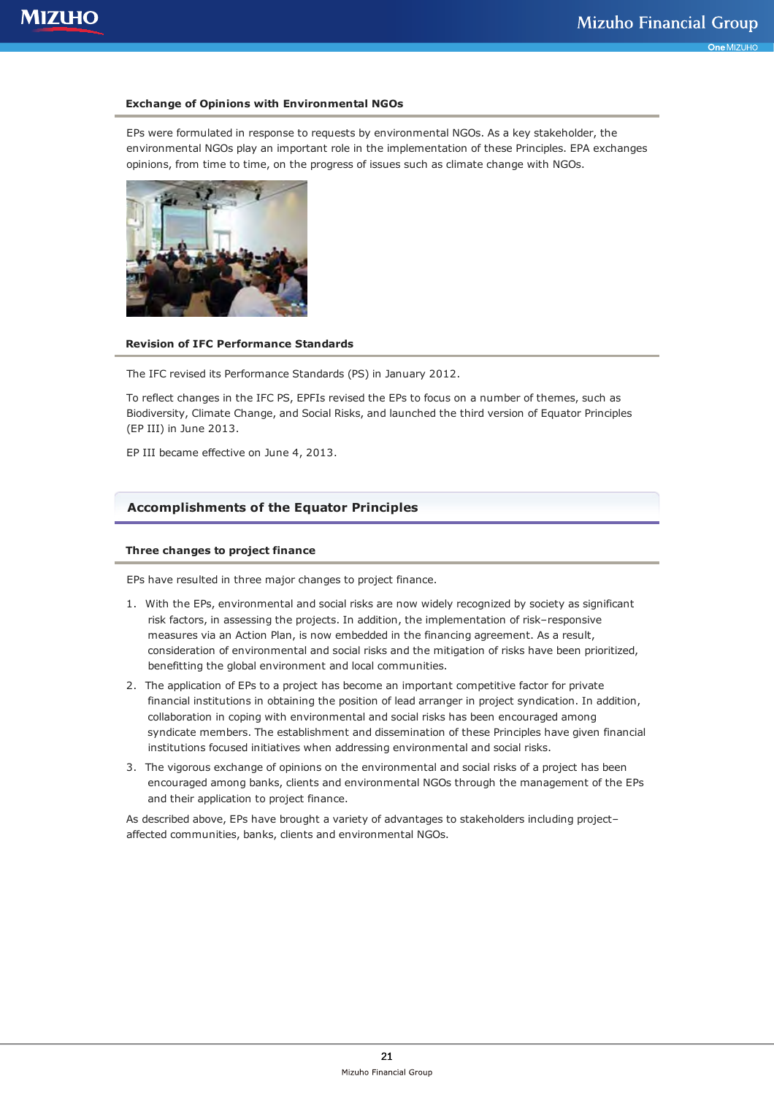#### **Exchange of Opinions with Environmental NGOs**

EPs were formulated in response to requests by environmental NGOs. As a key stakeholder, the environmental NGOs play an important role in the implementation of these Principles. EPA exchanges opinions, from time to time, on the progress of issues such as climate change with NGOs.



#### **Revision of IFC Performance Standards**

The IFC revised its Performance Standards (PS) in January 2012.

To reflect changes in the IFC PS, EPFIs revised the EPs to focus on a number of themes, such as Biodiversity, Climate Change, and Social Risks, and launched the third version of Equator Principles (EP III) in June 2013.

EP III became effective on June 4, 2013.

# **Accomplishments of the Equator Principles**

### **Three changes to project finance**

EPs have resulted in three major changes to project finance.

- 1. With the EPs, environmental and social risks are now widely recognized by society as significant risk factors, in assessing the projects. In addition, the implementation of risk–responsive measures via an Action Plan, is now embedded in the financing agreement. As a result, consideration of environmental and social risks and the mitigation of risks have been prioritized, benefitting the global environment and local communities.
- 2. The application of EPs to a project has become an important competitive factor for private financial institutions in obtaining the position of lead arranger in project syndication. In addition, collaboration in coping with environmental and social risks has been encouraged among syndicate members. The establishment and dissemination of these Principles have given financial institutions focused initiatives when addressing environmental and social risks.
- 3. The vigorous exchange of opinions on the environmental and social risks of a project has been encouraged among banks, clients and environmental NGOs through the management of the EPs and their application to project finance.

As described above, EPs have brought a variety of advantages to stakeholders including project– affected communities, banks, clients and environmental NGOs.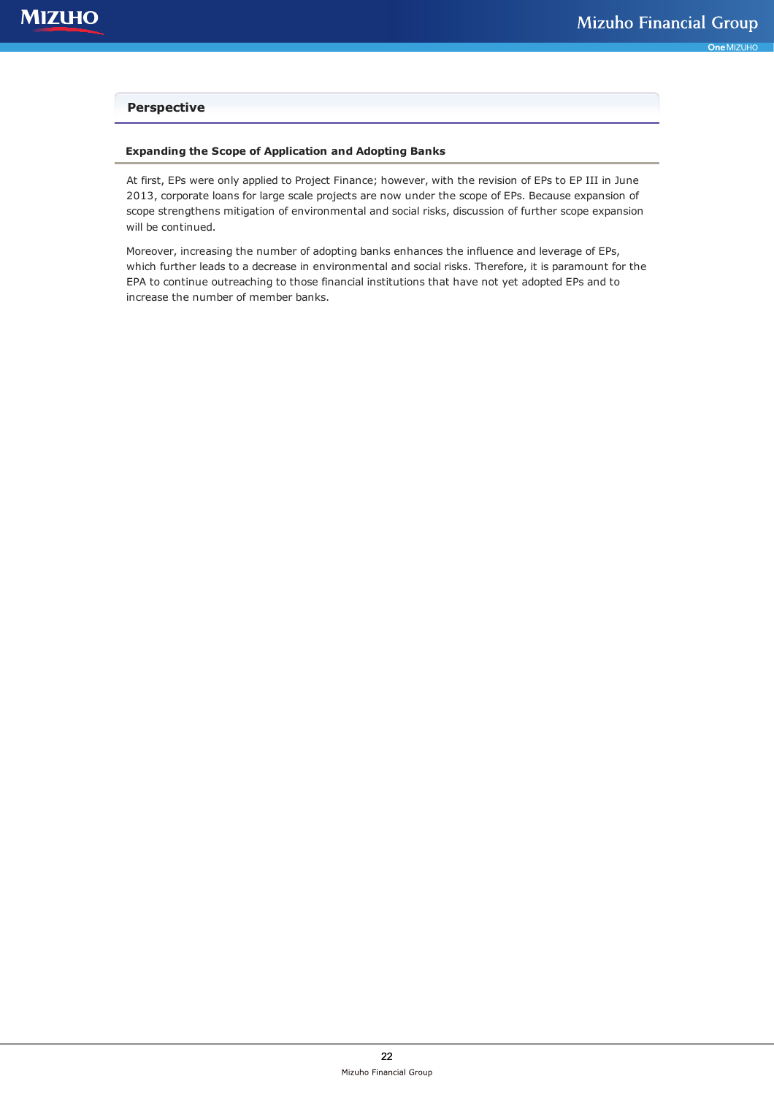# **Perspective**

## **Expanding the Scope of Application and Adopting Banks**

At first, EPs were only applied to Project Finance; however, with the revision of EPs to EP III in June 2013, corporate loans for large scale projects are now under the scope of EPs. Because expansion of scope strengthens mitigation of environmental and social risks, discussion of further scope expansion will be continued.

Moreover, increasing the number of adopting banks enhances the influence and leverage of EPs, which further leads to a decrease in environmental and social risks. Therefore, it is paramount for the EPA to continue outreaching to those financial institutions that have not yet adopted EPs and to increase the number of member banks.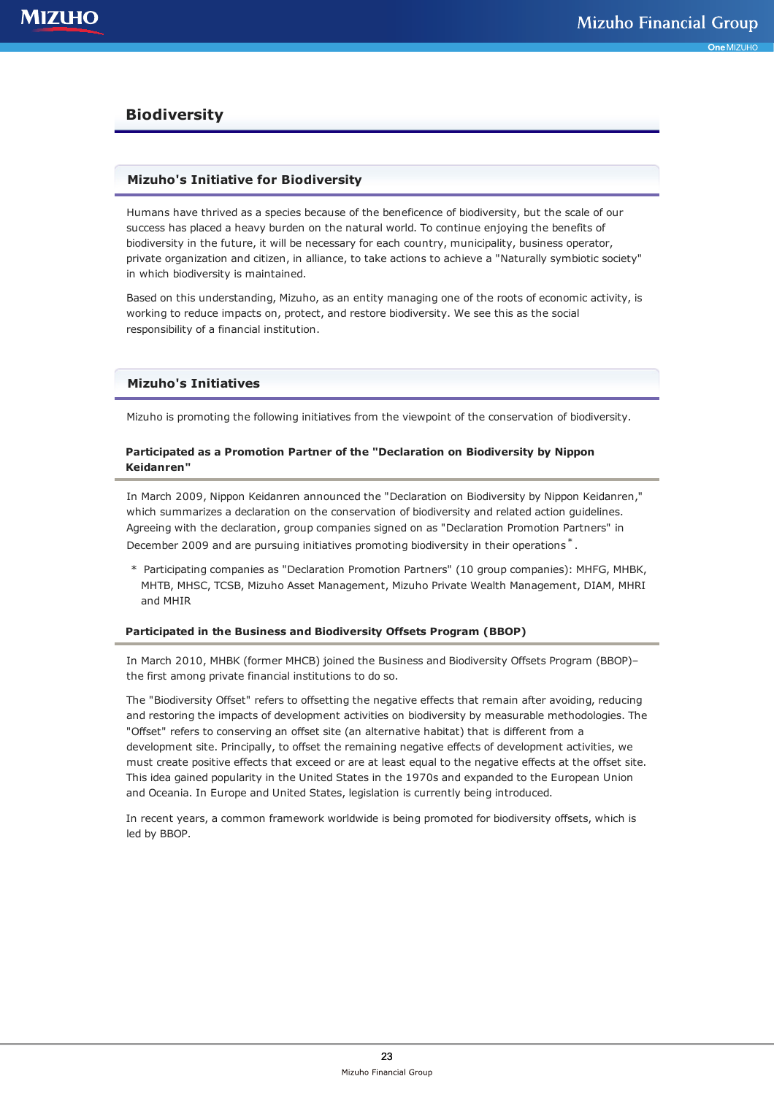# **Biodiversity**

# **Mizuho's Initiative for Biodiversity**

Humans have thrived as a species because of the beneficence of biodiversity, but the scale of our success has placed a heavy burden on the natural world. To continue enjoying the benefits of biodiversity in the future, it will be necessary for each country, municipality, business operator, private organization and citizen, in alliance, to take actions to achieve a "Naturally symbiotic society" in which biodiversity is maintained.

Based on this understanding, Mizuho, as an entity managing one of the roots of economic activity, is working to reduce impacts on, protect, and restore biodiversity. We see this as the social responsibility of a financial institution.

## **Mizuho's Initiatives**

Mizuho is promoting the following initiatives from the viewpoint of the conservation of biodiversity.

## **Participated as a Promotion Partner of the "Declaration on Biodiversity by Nippon Keidanren"**

In March 2009, Nippon Keidanren announced the "Declaration on Biodiversity by Nippon Keidanren," which summarizes a declaration on the conservation of biodiversity and related action guidelines. Agreeing with the declaration, group companies signed on as "Declaration Promotion Partners" in December 2009 and are pursuing initiatives promoting biodiversity in their operations<sup>\*</sup>.

\* Participating companies as "Declaration Promotion Partners" (10 group companies): MHFG, MHBK, MHTB, MHSC, TCSB, Mizuho Asset Management, Mizuho Private Wealth Management, DIAM, MHRI and MHIR

#### **Participated in the Business and Biodiversity Offsets Program (BBOP)**

In March 2010, MHBK (former MHCB) joined the Business and Biodiversity Offsets Program (BBOP)– the first among private financial institutions to do so.

The "Biodiversity Offset" refers to offsetting the negative effects that remain after avoiding, reducing and restoring the impacts of development activities on biodiversity by measurable methodologies. The "Offset" refers to conserving an offset site (an alternative habitat) that is different from a development site. Principally, to offset the remaining negative effects of development activities, we must create positive effects that exceed or are at least equal to the negative effects at the offset site. This idea gained popularity in the United States in the 1970s and expanded to the European Union and Oceania. In Europe and United States, legislation is currently being introduced.

In recent years, a common framework worldwide is being promoted for biodiversity offsets, which is led by BBOP.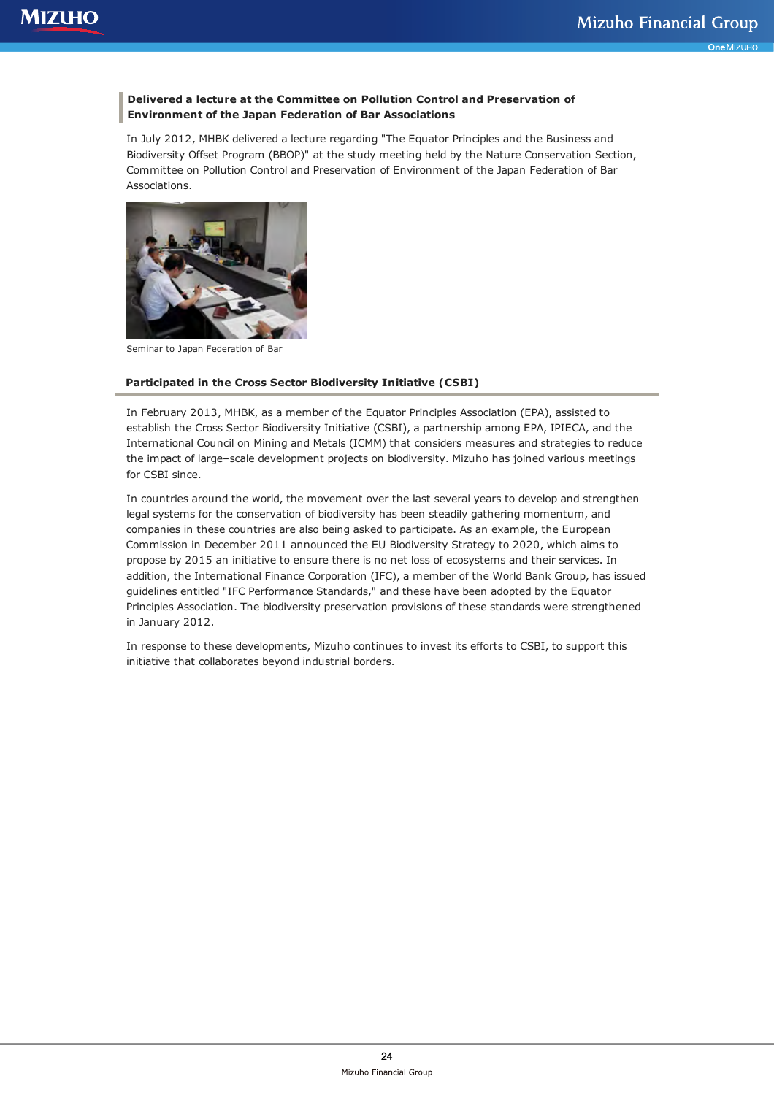## **Delivered a lecture at the Committee on Pollution Control and Preservation of Environment of the Japan Federation of Bar Associations**

In July 2012, MHBK delivered a lecture regarding "The Equator Principles and the Business and Biodiversity Offset Program (BBOP)" at the study meeting held by the Nature Conservation Section, Committee on Pollution Control and Preservation of Environment of the Japan Federation of Bar Associations.



Seminar to Japan Federation of Bar

## **Participated in the Cross Sector Biodiversity Initiative (CSBI)**

In February 2013, MHBK, as a member of the Equator Principles Association (EPA), assisted to establish the Cross Sector Biodiversity Initiative (CSBI), a partnership among EPA, IPIECA, and the International Council on Mining and Metals (ICMM) that considers measures and strategies to reduce the impact of large–scale development projects on biodiversity. Mizuho has joined various meetings for CSBI since.

In countries around the world, the movement over the last several years to develop and strengthen legal systems for the conservation of biodiversity has been steadily gathering momentum, and companies in these countries are also being asked to participate. As an example, the European Commission in December 2011 announced the EU Biodiversity Strategy to 2020, which aims to propose by 2015 an initiative to ensure there is no net loss of ecosystems and their services. In addition, the International Finance Corporation (IFC), a member of the World Bank Group, has issued guidelines entitled "IFC Performance Standards," and these have been adopted by the Equator Principles Association. The biodiversity preservation provisions of these standards were strengthened in January 2012.

In response to these developments, Mizuho continues to invest its efforts to CSBI, to support this initiative that collaborates beyond industrial borders.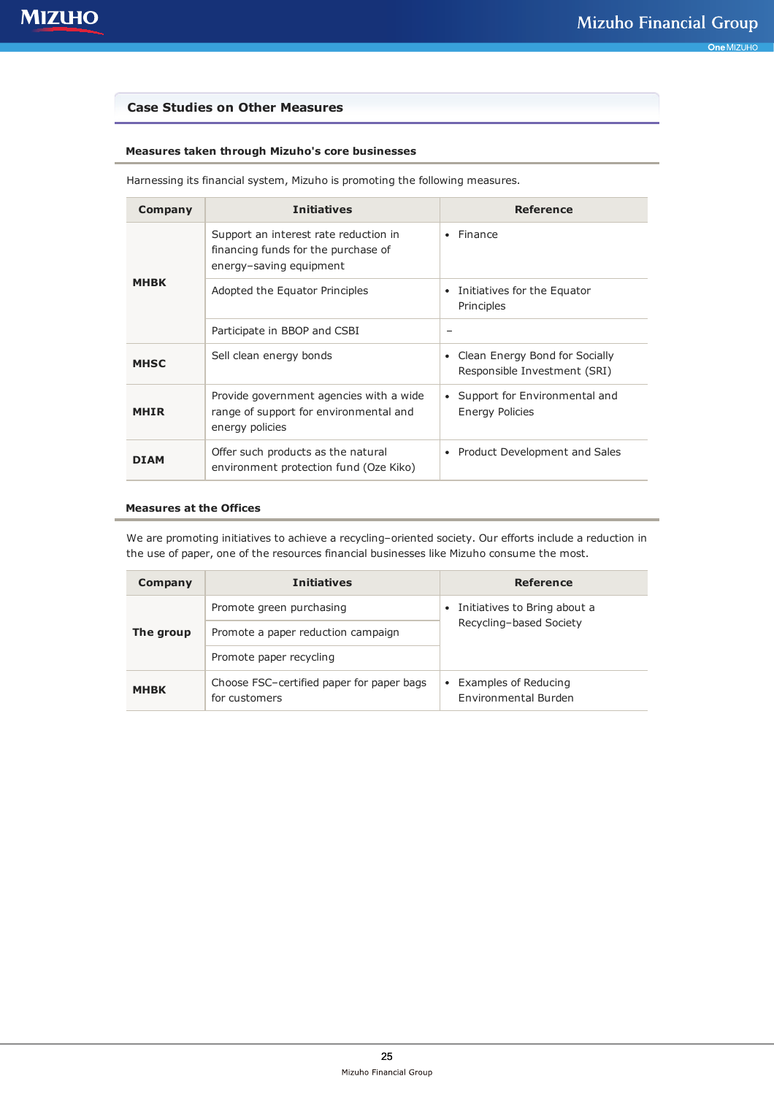# **Case Studies on Other Measures**

# **Measures taken through Mizuho's core businesses**

| Company     | <b>Initiatives</b>                                                                                      | Reference                                                      |
|-------------|---------------------------------------------------------------------------------------------------------|----------------------------------------------------------------|
| <b>MHBK</b> | Support an interest rate reduction in<br>financing funds for the purchase of<br>energy-saving equipment | Finance                                                        |
|             | Adopted the Equator Principles                                                                          | Initiatives for the Equator<br>٠<br>Principles                 |
|             | Participate in BBOP and CSBI                                                                            | -                                                              |
| <b>MHSC</b> | Sell clean energy bonds                                                                                 | Clean Energy Bond for Socially<br>Responsible Investment (SRI) |
| <b>MHIR</b> | Provide government agencies with a wide<br>range of support for environmental and<br>energy policies    | Support for Environmental and<br><b>Energy Policies</b>        |
| DTAM        | Offer such products as the natural<br>environment protection fund (Oze Kiko)                            | Product Development and Sales                                  |

Harnessing its financial system, Mizuho is promoting the following measures.

### **Measures at the Offices**

We are promoting initiatives to achieve a recycling–oriented society. Our efforts include a reduction in the use of paper, one of the resources financial businesses like Mizuho consume the most.

| Company     | <b>Initiatives</b>                                         | Reference                                                            |
|-------------|------------------------------------------------------------|----------------------------------------------------------------------|
| The group   | Promote green purchasing                                   | Initiatives to Bring about a<br>$\bullet$<br>Recycling-based Society |
|             | Promote a paper reduction campaign                         |                                                                      |
|             | Promote paper recycling                                    |                                                                      |
| <b>MHBK</b> | Choose FSC-certified paper for paper bags<br>for customers | • Examples of Reducing<br>Environmental Burden                       |